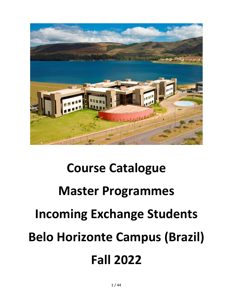

# **Course Catalogue Master Programmes Incoming Exchange Students Belo Horizonte Campus (Brazil) Fall 2022**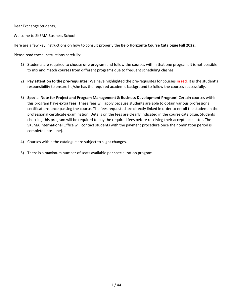Dear Exchange Students,

Welcome to SKEMA Business School!

Here are a few key instructions on how to consult properly the **Belo Horizonte Course Catalogue Fall 2022**.

Please read these instructions carefully:

- 1) Students are required to choose **one program** and follow the courses within that one program. It is not possible to mix and match courses from different programs due to frequent scheduling clashes.
- 2) **Pay attention to the pre-requisites!** We have highlighted the pre-requisites for courses **in red**. It is the student's responsibility to ensure he/she has the required academic background to follow the courses successfully.
- 3) **Special Note for Project and Program Management & Business Development Program!** Certain courses within this program have **extra fees**. These fees will apply because students are able to obtain various professional certifications once passing the course. The fees requested are directly linked in order to enroll the student in the professional certificate examination. Details on the fees are clearly indicated in the course catalogue. Students choosing this program will be required to pay the required fees before receiving their acceptance letter. The SKEMA International Office will contact students with the payment procedure once the nomination period is complete (late June).
- 4) Courses within the catalogue are subject to slight changes.
- 5) There is a maximum number of seats available per specialization program.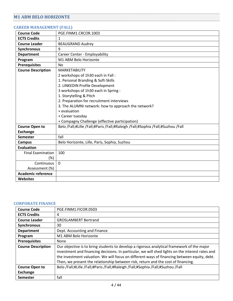# <span id="page-3-0"></span>**M1 ABM BELO HORIZONTE**

#### <span id="page-3-1"></span>**CAREER MANAGEMENT (FALL)**

| <b>Course Code</b>        | PGE.FINM1.CRCOR.1003                                                            |
|---------------------------|---------------------------------------------------------------------------------|
| <b>ECTS Credits</b>       | 1                                                                               |
| <b>Course Leader</b>      | <b>BEAUGRAND Audrey</b>                                                         |
| Synchronous               | 9                                                                               |
| <b>Department</b>         | Career Center - Employability                                                   |
| Program                   | M1 ABM Belo Horizonte                                                           |
| <b>Prerequisites</b>      | No                                                                              |
| <b>Course Description</b> | <b>MARKETABILITY</b>                                                            |
|                           | 2 workshops of 1h30 each in Fall:                                               |
|                           | 1. Personal Branding & Soft-Skills                                              |
|                           | 2. LINKEDIN Profile Development                                                 |
|                           | 3 workshops of 1h30 each in Spring:                                             |
|                           | 1. Storytelling & Pitch                                                         |
|                           | 2. Preparation for recruitment interviews                                       |
|                           | 3. The ALUMNI network: how to approach the network?                             |
|                           | + evaluation                                                                    |
|                           | + Career tuesday                                                                |
|                           | + Compagny Challenge (effective participation)                                  |
| <b>Course Open to</b>     | Belo /Fall;#Lille /Fall;#Paris /Fall;#Raleigh /Fall;#Sophia /Fall;#Suzhou /Fall |
| <b>Exchange</b>           |                                                                                 |
| <b>Semester</b>           | fall                                                                            |
| <b>Campus</b>             | Belo Horizonte, Lille, Paris, Sophia, Suzhou                                    |
| <b>Evaluation</b>         |                                                                                 |
| <b>Final Examination</b>  | 100                                                                             |
| (%)                       |                                                                                 |
| Continuous                | $\Omega$                                                                        |
| Assessment (%)            |                                                                                 |
| <b>Academic reference</b> |                                                                                 |
| Websites                  |                                                                                 |

## <span id="page-3-2"></span>**CORPORATE FINANCE**

| <b>Course Code</b>        | PGE.FINM1.FICOR.0503                                                                                                                                                                                                                                                                                                                                                                |
|---------------------------|-------------------------------------------------------------------------------------------------------------------------------------------------------------------------------------------------------------------------------------------------------------------------------------------------------------------------------------------------------------------------------------|
| <b>ECTS Credits</b>       | 4                                                                                                                                                                                                                                                                                                                                                                                   |
| <b>Course Leader</b>      | <b>GROSLAMBERT Bertrand</b>                                                                                                                                                                                                                                                                                                                                                         |
| Synchronous               | 30                                                                                                                                                                                                                                                                                                                                                                                  |
| <b>Department</b>         | Dept. Accounting and Finance                                                                                                                                                                                                                                                                                                                                                        |
| Program                   | M1 ABM Belo Horizonte                                                                                                                                                                                                                                                                                                                                                               |
| <b>Prerequisites</b>      | None                                                                                                                                                                                                                                                                                                                                                                                |
| <b>Course Description</b> | Our objective is to bring students to develop a rigorous analytical framework of the major<br>investment and financing decisions. In particular, we will shed lights on the interest rates and<br>the investment valuation. We will focus on different ways of financing between equity, debt.<br>Then, we present the relationship between risk, return and the cost of financing. |
| <b>Course Open to</b>     | Belo /Fall;#Lille /Fall;#Paris /Fall;#Raleigh /Fall;#Sophia /Fall;#Suzhou /Fall                                                                                                                                                                                                                                                                                                     |
| <b>Exchange</b>           |                                                                                                                                                                                                                                                                                                                                                                                     |
| <b>Semester</b>           | fall                                                                                                                                                                                                                                                                                                                                                                                |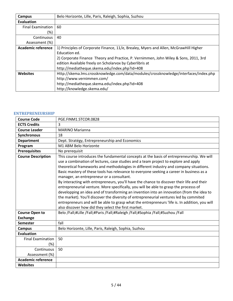| Campus                    | Belo Horizonte, Lille, Paris, Raleigh, Sophia, Suzhou                                 |
|---------------------------|---------------------------------------------------------------------------------------|
| <b>Evaluation</b>         |                                                                                       |
| <b>Final Examination</b>  | 60                                                                                    |
| $(\%)$                    |                                                                                       |
| Continuous                | 40                                                                                    |
| Assessment (%)            |                                                                                       |
| <b>Academic reference</b> | 1) Principles of Corporate Finance, 11/e, Brealey, Myers and Allen, McGrawHill Higher |
|                           | Education ed.                                                                         |
|                           | 2) Corporate Finance Theory and Practice, P. Vernimmen, John Wiley & Sons, 2011, 3rd  |
|                           | edition Available freely on Scholarvox by Cyberlibris at                              |
|                           | http://mediatheque.skema.edu/index.php?id=408                                         |
| <b>Websites</b>           | Http://skema.lms.crossknowledge.com/data/modules/crossknowledge/interfaces/index.php  |
|                           | http://www.vernimmen.com/                                                             |
|                           | http://mediatheque.skema.edu/index.php?id=408                                         |
|                           | http://knowledge.skema.edu/                                                           |

#### <span id="page-4-0"></span>**ENTREPRENEURSHIP**

| <b>Course Code</b>        | PGE.FINM1.STCOR.0828                                                                                                                                                                                                                                                                                                                                                                                                                                                                                                                                                                                                                                                                                                                                                                                                                                                                                                                                       |
|---------------------------|------------------------------------------------------------------------------------------------------------------------------------------------------------------------------------------------------------------------------------------------------------------------------------------------------------------------------------------------------------------------------------------------------------------------------------------------------------------------------------------------------------------------------------------------------------------------------------------------------------------------------------------------------------------------------------------------------------------------------------------------------------------------------------------------------------------------------------------------------------------------------------------------------------------------------------------------------------|
| <b>ECTS Credits</b>       | 3                                                                                                                                                                                                                                                                                                                                                                                                                                                                                                                                                                                                                                                                                                                                                                                                                                                                                                                                                          |
| <b>Course Leader</b>      | <b>MARINO Marianna</b>                                                                                                                                                                                                                                                                                                                                                                                                                                                                                                                                                                                                                                                                                                                                                                                                                                                                                                                                     |
| Synchronous               | 18                                                                                                                                                                                                                                                                                                                                                                                                                                                                                                                                                                                                                                                                                                                                                                                                                                                                                                                                                         |
| <b>Department</b>         | Dept. Stratégy, Entrepreneurship and Economics                                                                                                                                                                                                                                                                                                                                                                                                                                                                                                                                                                                                                                                                                                                                                                                                                                                                                                             |
| Program                   | M1 ABM Belo Horizonte                                                                                                                                                                                                                                                                                                                                                                                                                                                                                                                                                                                                                                                                                                                                                                                                                                                                                                                                      |
| <b>Prerequisites</b>      | No prerequisit                                                                                                                                                                                                                                                                                                                                                                                                                                                                                                                                                                                                                                                                                                                                                                                                                                                                                                                                             |
| <b>Course Description</b> | This course introduces the fundamental concepts at the basis of entrepreneurship. We will<br>use a combination of lectures, case studies and a team project to explore and apply<br>theoretical frameworks and methodologies in different industry and company situations.<br>Basic mastery of these tools has relevance to everyone seeking a career in business as a<br>manager, an entrepreneur or a consultant.<br>By interacting with entrepreneurs, you'll have the chance to discover their life and their<br>entrepreneurial venture. More specifically, you will be able to grasp the processs of<br>developping an idea and of transforming an invention into an innovation (from the idea to<br>the market). You'll discover the diversity of entrepreneurial ventures led by commited<br>entrepreneurs and will be able to grasp what the entrepreneurs 'life is. In addition, you will<br>also discover how did they select the first market. |
| <b>Course Open to</b>     | Belo /Fall;#Lille /Fall;#Paris /Fall;#Raleigh /Fall;#Sophia /Fall;#Suzhou /Fall                                                                                                                                                                                                                                                                                                                                                                                                                                                                                                                                                                                                                                                                                                                                                                                                                                                                            |
| <b>Exchange</b>           |                                                                                                                                                                                                                                                                                                                                                                                                                                                                                                                                                                                                                                                                                                                                                                                                                                                                                                                                                            |
| <b>Semester</b>           | fall                                                                                                                                                                                                                                                                                                                                                                                                                                                                                                                                                                                                                                                                                                                                                                                                                                                                                                                                                       |
| <b>Campus</b>             | Belo Horizonte, Lille, Paris, Raleigh, Sophia, Suzhou                                                                                                                                                                                                                                                                                                                                                                                                                                                                                                                                                                                                                                                                                                                                                                                                                                                                                                      |
| <b>Evaluation</b>         |                                                                                                                                                                                                                                                                                                                                                                                                                                                                                                                                                                                                                                                                                                                                                                                                                                                                                                                                                            |
| <b>Final Examination</b>  | 50                                                                                                                                                                                                                                                                                                                                                                                                                                                                                                                                                                                                                                                                                                                                                                                                                                                                                                                                                         |
| $(\%)$                    |                                                                                                                                                                                                                                                                                                                                                                                                                                                                                                                                                                                                                                                                                                                                                                                                                                                                                                                                                            |
| Continuous                | 50                                                                                                                                                                                                                                                                                                                                                                                                                                                                                                                                                                                                                                                                                                                                                                                                                                                                                                                                                         |
| Assessment (%)            |                                                                                                                                                                                                                                                                                                                                                                                                                                                                                                                                                                                                                                                                                                                                                                                                                                                                                                                                                            |
| <b>Academic reference</b> |                                                                                                                                                                                                                                                                                                                                                                                                                                                                                                                                                                                                                                                                                                                                                                                                                                                                                                                                                            |
| <b>Websites</b>           |                                                                                                                                                                                                                                                                                                                                                                                                                                                                                                                                                                                                                                                                                                                                                                                                                                                                                                                                                            |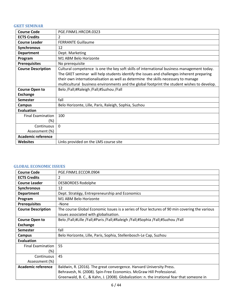## <span id="page-5-0"></span>**GKET SEMINAR**

| <b>Course Code</b>              | PGE.FINM1.HRCOR.0323                                                                                                                                                                                                                                                                                                                                                         |
|---------------------------------|------------------------------------------------------------------------------------------------------------------------------------------------------------------------------------------------------------------------------------------------------------------------------------------------------------------------------------------------------------------------------|
| <b>ECTS Credits</b>             | $\overline{2}$                                                                                                                                                                                                                                                                                                                                                               |
| <b>Course Leader</b>            | <b>FERRANTE Guillaume</b>                                                                                                                                                                                                                                                                                                                                                    |
| <b>Synchronous</b>              | 12                                                                                                                                                                                                                                                                                                                                                                           |
| <b>Department</b>               | Dept. Marketing                                                                                                                                                                                                                                                                                                                                                              |
| Program                         | M1 ABM Belo Horizonte                                                                                                                                                                                                                                                                                                                                                        |
| <b>Prerequisites</b>            | No prerequisite                                                                                                                                                                                                                                                                                                                                                              |
| <b>Course Description</b>       | Cultural competence is one the key soft skills of international business management today.<br>The GKET seminar will help students identify the issues and challenges inherent preparing<br>their own internationalisation as well as determine the skills necessary to manage<br>multicultural business environments and the global footprint the student wishes to develop. |
| <b>Course Open to</b>           | Belo /Fall;#Raleigh /Fall;#Suzhou /Fall                                                                                                                                                                                                                                                                                                                                      |
| <b>Exchange</b>                 |                                                                                                                                                                                                                                                                                                                                                                              |
| <b>Semester</b>                 | fall                                                                                                                                                                                                                                                                                                                                                                         |
| Campus                          | Belo Horizonte, Lille, Paris, Raleigh, Sophia, Suzhou                                                                                                                                                                                                                                                                                                                        |
| <b>Evaluation</b>               |                                                                                                                                                                                                                                                                                                                                                                              |
| <b>Final Examination</b><br>(%) | 100                                                                                                                                                                                                                                                                                                                                                                          |
| Continuous                      | $\Omega$                                                                                                                                                                                                                                                                                                                                                                     |
| Assessment (%)                  |                                                                                                                                                                                                                                                                                                                                                                              |
| <b>Academic reference</b>       |                                                                                                                                                                                                                                                                                                                                                                              |
| <b>Websites</b>                 | Links provided on the LMS course site                                                                                                                                                                                                                                                                                                                                        |

## <span id="page-5-1"></span>**GLOBAL ECONOMIC ISSUES**

| <b>Course Code</b>        | PGE.FINM1.ECCOR.0904                                                                          |
|---------------------------|-----------------------------------------------------------------------------------------------|
| <b>ECTS Credits</b>       | 2                                                                                             |
| <b>Course Leader</b>      | <b>DESBORDES Rodolphe</b>                                                                     |
| <b>Synchronous</b>        | 12                                                                                            |
| <b>Department</b>         | Dept. Stratégy, Entrepreneurship and Economics                                                |
| Program                   | M1 ABM Belo Horizonte                                                                         |
| <b>Prerequisites</b>      | -None                                                                                         |
| <b>Course Description</b> | The course Global Economic Issues is a series of four lectures of 90 min covering the various |
|                           | issues associated with globalisation.                                                         |
| <b>Course Open to</b>     | Belo /Fall;#Lille /Fall;#Paris /Fall;#Raleigh /Fall;#Sophia /Fall;#Suzhou /Fall               |
| Exchange                  |                                                                                               |
| <b>Semester</b>           | fall                                                                                          |
| Campus                    | Belo Horizonte, Lille, Paris, Sophia, Stellenbosch-Le Cap, Suzhou                             |
| Evaluation                |                                                                                               |
| <b>Final Examination</b>  | 55                                                                                            |
| $(\%)$                    |                                                                                               |
| Continuous                | 45                                                                                            |
| Assessment (%)            |                                                                                               |
| <b>Academic reference</b> | Baldwin, R. (2016). The great convergence. Harvard University Press.                          |
|                           | Behravesh, N. (2008). Spin-Free Economics. McGraw Hill Professional.                          |
|                           | Greenwald, B. C., & Kahn, J. (2008). Globalization: n. the irrational fear that someone in    |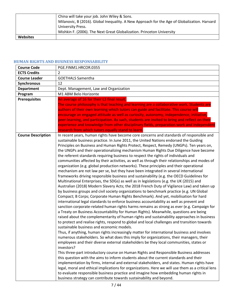|          | China will take your job. John Wiley & Sons.                                                 |
|----------|----------------------------------------------------------------------------------------------|
|          | Milanovic, B (2016). Global Inequality. A New Approach for the Age of Globalization. Harvard |
|          | University Press.                                                                            |
|          | Mishkin F. (2006). The Next Great Globalization. Princeton University                        |
| Websites |                                                                                              |

# <span id="page-6-0"></span>**HUMAN RIGHTS AND BUSINESS RESPONSABILITY**

| <b>Course Code</b>        | PGE.FINM1.HRCOR.0355                                                                                                                                                                                                                                                                                                                                                                                                                                                                                                                                                                                                                                                                                                                                                                                                                                                                                                                                                                                                                                                                                                                                                                                                                                                                                                                                                                                                                                                                                                                                                                                                                                                                                                                                                                                                                                                                                                                                                                                                                                                                                                                                                                                                                                                                                                                                                                                                                                                                                                                                                                                    |
|---------------------------|---------------------------------------------------------------------------------------------------------------------------------------------------------------------------------------------------------------------------------------------------------------------------------------------------------------------------------------------------------------------------------------------------------------------------------------------------------------------------------------------------------------------------------------------------------------------------------------------------------------------------------------------------------------------------------------------------------------------------------------------------------------------------------------------------------------------------------------------------------------------------------------------------------------------------------------------------------------------------------------------------------------------------------------------------------------------------------------------------------------------------------------------------------------------------------------------------------------------------------------------------------------------------------------------------------------------------------------------------------------------------------------------------------------------------------------------------------------------------------------------------------------------------------------------------------------------------------------------------------------------------------------------------------------------------------------------------------------------------------------------------------------------------------------------------------------------------------------------------------------------------------------------------------------------------------------------------------------------------------------------------------------------------------------------------------------------------------------------------------------------------------------------------------------------------------------------------------------------------------------------------------------------------------------------------------------------------------------------------------------------------------------------------------------------------------------------------------------------------------------------------------------------------------------------------------------------------------------------------------|
| <b>ECTS Credits</b>       | $\overline{2}$                                                                                                                                                                                                                                                                                                                                                                                                                                                                                                                                                                                                                                                                                                                                                                                                                                                                                                                                                                                                                                                                                                                                                                                                                                                                                                                                                                                                                                                                                                                                                                                                                                                                                                                                                                                                                                                                                                                                                                                                                                                                                                                                                                                                                                                                                                                                                                                                                                                                                                                                                                                          |
| <b>Course Leader</b>      | <b>GOETHALS Samentha</b>                                                                                                                                                                                                                                                                                                                                                                                                                                                                                                                                                                                                                                                                                                                                                                                                                                                                                                                                                                                                                                                                                                                                                                                                                                                                                                                                                                                                                                                                                                                                                                                                                                                                                                                                                                                                                                                                                                                                                                                                                                                                                                                                                                                                                                                                                                                                                                                                                                                                                                                                                                                |
| Synchronous               | 12                                                                                                                                                                                                                                                                                                                                                                                                                                                                                                                                                                                                                                                                                                                                                                                                                                                                                                                                                                                                                                                                                                                                                                                                                                                                                                                                                                                                                                                                                                                                                                                                                                                                                                                                                                                                                                                                                                                                                                                                                                                                                                                                                                                                                                                                                                                                                                                                                                                                                                                                                                                                      |
| <b>Department</b>         | Dept. Management, Law and Organization                                                                                                                                                                                                                                                                                                                                                                                                                                                                                                                                                                                                                                                                                                                                                                                                                                                                                                                                                                                                                                                                                                                                                                                                                                                                                                                                                                                                                                                                                                                                                                                                                                                                                                                                                                                                                                                                                                                                                                                                                                                                                                                                                                                                                                                                                                                                                                                                                                                                                                                                                                  |
| Program                   | M1 ABM Belo Horizonte                                                                                                                                                                                                                                                                                                                                                                                                                                                                                                                                                                                                                                                                                                                                                                                                                                                                                                                                                                                                                                                                                                                                                                                                                                                                                                                                                                                                                                                                                                                                                                                                                                                                                                                                                                                                                                                                                                                                                                                                                                                                                                                                                                                                                                                                                                                                                                                                                                                                                                                                                                                   |
| <b>Prerequisites</b>      | An average of 16 for their L3 final result.<br>The course philosophy is that teaching and learning are a collaborative work. Students are<br>authors of their own learning which tutors can guide and facilitate. This course will<br>encourage an engaged attitude as well as curiosity, autonomy, independence, initiative,<br>peer-learning, and participation. As such, students are invited to bring and reflect on their<br>experience and knowledge from other disciplinary fields, preparation work and independent<br>research from which tutors equally stand to learn.                                                                                                                                                                                                                                                                                                                                                                                                                                                                                                                                                                                                                                                                                                                                                                                                                                                                                                                                                                                                                                                                                                                                                                                                                                                                                                                                                                                                                                                                                                                                                                                                                                                                                                                                                                                                                                                                                                                                                                                                                       |
| <b>Course Description</b> | In recent years, human rights have become core concerns and standards of responsible and<br>sustainable business practice. In June 2011, the United Nations endorsed the Guiding<br>Principles on Business and Human Rights Protect, Respect, Remedy (UNGPs). Ten years on,<br>the UNGPs and their operationalizing mechanism Human Rights Due Diligence have become<br>the referent standards requiring business to respect the rights of individuals and<br>communities affected by their activities, as well as through their relationships and modes of<br>organization (e.g. global production networks). These principles and their operational<br>mechanism are not law per se, but they have been integrated in several international<br>frameworks driving responsible business and sustainability (e.g. the OECD Guidelines for<br>Multinational Enterprises, the SDGs) as well as in legislations (e.g. the UK (2015) and<br>Australian (2018) Modern Slavery Acts; the 2018 French Duty of Vigilance Law) and taken up<br>by business groups and civil society organizations to benchmark practice (e.g. UN Global<br>Compact; B Corps; Corporate Human Rights Benchmark). And yet, mobilisation for hard<br>international legal standards to enforce business accountability as well as prevent and<br>sanction corporate-related human rights harms remains as strong as ever (e.g. Campaign for<br>a Treaty on Business Accountability for Human Rights). Meanwhile, questions are being<br>raised about the complementarity of human rights and sustainability approaches in business<br>to protect and realise rights, respond to global and local challenges and transition towards<br>sustainable business and economic models.<br>Thus, if anything, human rights increasingly matter for international business and involves<br>numerous stakeholders. So what does this imply for organizations, their managers, their<br>employees and their diverse external stakeholders be they local communities, states or<br>investors?<br>This three-part introductory course on Human Rights and Responsible Business addresses<br>this question with the aims to inform students about the current standards and their<br>implementation by firms, internal and external stakeholders, and states. Human rights have<br>legal, moral and ethical implications for organizations. Here we will use them as a critical lens<br>to evaluate responsible business practice and imagine how embedding human rights in<br>business strategy can contribute towards sustainability and beyond. |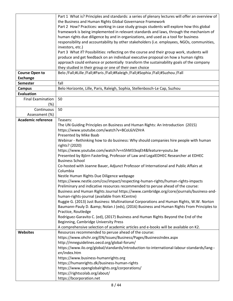|                           | Part 1 What is? Principles and standards: a series of plenary lectures will offer an overview of |
|---------------------------|--------------------------------------------------------------------------------------------------|
|                           | the Business and Human Rights Global Governance Framework                                        |
|                           | Part 2 How? Practices: working in case study groups students will explore how this global        |
|                           | framework is being implemented in relevant standards and laws, through the mechanism of          |
|                           | human rights due diligence by and in organizations, and used as a tool for business              |
|                           | responsibility and accountability by other stakeholders (i.e. employees, NGOs, communities,      |
|                           | investors, etc.)                                                                                 |
|                           | Part 3 What if? Possibilities: reflecting on the course and their group work, students will      |
|                           | produce and get feedback on an individual executive proposal on how a human rights               |
|                           | approach could enhance or potentially transform the sustainability goals of the company          |
|                           | they studied in their group or one of their own choice                                           |
| <b>Course Open to</b>     | Belo /Fall;#Lille /Fall;#Paris /Fall;#Raleigh /Fall;#Sophia /Fall;#Suzhou /Fall                  |
| <b>Exchange</b>           |                                                                                                  |
| Semester                  | fall                                                                                             |
| <b>Campus</b>             | Belo Horizonte, Lille, Paris, Raleigh, Sophia, Stellenbosch-Le Cap, Suzhou                       |
| <b>Evaluation</b>         |                                                                                                  |
| <b>Final Examination</b>  | 50                                                                                               |
| (%)                       |                                                                                                  |
| Continuous                | 50                                                                                               |
| Assessment (%)            |                                                                                                  |
| <b>Academic reference</b> | Teasers:                                                                                         |
|                           | The UN Guiding Principles on Business and Human Rights: An Introduction (2015)                   |
|                           | https://www.youtube.com/watch?v=BCoL6JVZHrA                                                      |
|                           | Presented by Mike Baab                                                                           |
|                           | Webinar - Rethinking how to do business: Why should companies hire people with human             |
|                           | rights? (2020)                                                                                   |
|                           | https://www.youtube.com/watch?v=n5hM33xqEt4&feature=youtu.be                                     |
|                           | Presented by Björn Fasterling, Professor of Law and LegalEDHEC Researcher at EDHEC               |
|                           | <b>Business School</b>                                                                           |
|                           | Co-hosted with Joanne Bauer, Adjunct Professor of International and Public Affairs at            |
|                           | Columbia                                                                                         |
|                           | Nestle Human Rights Due Diligence webpage                                                        |
|                           | https://www.nestle.com/csv/impact/respecting-human-rights/human-rights-impacts                   |
|                           | Preliminary and indicative resources recommended to peruse ahead of the course:                  |
|                           | Business and Human Rights Journal https://www.cambridge.org/core/journals/business-and-          |
|                           | human-rights-journal (available from KCentre)                                                    |
|                           | Ruggie G. (2013) Just Business: Multinational Corporations and Human Rights, W.W. Norton         |
|                           | Baumann-Pauly D. & Nolan J (eds), (2016) Business and Human Rights From Principles to            |
|                           | Practice, Routledge                                                                              |
|                           | Rodriguez-Garavito C. (ed), (2017) Business and Human Rights Beyond the End of the               |
|                           | Beginning, Cambridge University Press                                                            |
|                           | A comprehensive selection of academic articles and e-books will be available on K2.              |
| <b>Websites</b>           | Resources recommended to peruse ahead of the course:                                             |
|                           | https://www.ohchr.org/EN/Issues/Business/Pages/BusinessIndex.aspx                                |
|                           | http://mneguidelines.oecd.org/global-forum/                                                      |
|                           | https://www.ilo.org/global/standards/introduction-to-international-labour-standards/lang--       |
|                           | en/index.htm                                                                                     |
|                           | https://www.business-humanrights.org                                                             |
|                           | https://humanrights.dk/business-human-rights                                                     |
|                           | https://www.openglobalrights.org/corporations/                                                   |
|                           | https://rightscolab.org/about/                                                                   |
|                           | https://bcorporation.net                                                                         |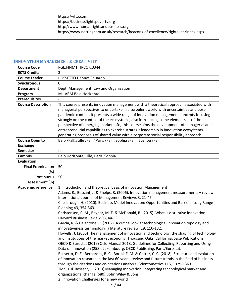| https://wfto.com                                                                  |
|-----------------------------------------------------------------------------------|
| https://businessfightspoverty.org                                                 |
| http://www.humanrightsandbusiness.org                                             |
| https://www.nottingham.ac.uk/research/beacons-of-excellence/rights-lab/index.aspx |
|                                                                                   |

# <span id="page-8-0"></span>**INNOVATION MANAGEMENT & CREATIVITY**

| <b>Course Code</b>        | PGE.FINM1.HRCOR.0344                                                                                              |
|---------------------------|-------------------------------------------------------------------------------------------------------------------|
| <b>ECTS Credits</b>       | 3                                                                                                                 |
| <b>Course Leader</b>      | ROSSETTO Dennys Eduardo                                                                                           |
| Synchronous               | 0                                                                                                                 |
| <b>Department</b>         | Dept. Management, Law and Organization                                                                            |
| Program                   | M1 ABM Belo Horizonte                                                                                             |
| <b>Prerequisites</b>      |                                                                                                                   |
| <b>Course Description</b> | This course presents innovation management with a theoretical approach associated with                            |
|                           | managerial perspectives to undertake in a turbulent world with uncertainties and post-                            |
|                           | pandemic context. It presents a wide range of innovation management concepts focusing                             |
|                           | strongly on the context of the ecosystems, also introducing some elements as of the                               |
|                           | perspective of emerging markets. So, this course aims the development of managerial and                           |
|                           | entrepreneurial capabilities to exercise strategic leadership in innovation ecosystems,                           |
|                           | generating proposals of shared value with a corporate social responsibility approach.                             |
| <b>Course Open to</b>     | Belo /Fall;#Lille /Fall;#Paris /Fall;#Sophia /Fall;#Suzhou /Fall                                                  |
| <b>Exchange</b>           |                                                                                                                   |
| <b>Semester</b>           | fall                                                                                                              |
| <b>Campus</b>             | Belo Horizonte, Lille, Paris, Sophia                                                                              |
| <b>Evaluation</b>         |                                                                                                                   |
| <b>Final Examination</b>  | 50                                                                                                                |
| (%)                       |                                                                                                                   |
| Continuous                | 50                                                                                                                |
| Assessment (%)            |                                                                                                                   |
| <b>Academic reference</b> | 1. Introduction and theoretical basis of innovation Management                                                    |
|                           | Adams, R., Bessant, J. & Phelps, R. (2006). Innovation management measurement: A review.                          |
|                           | International Journal of Management Reviews 8, 21-47.                                                             |
|                           | Chesbrough, H. (2010). Business Model Innovation: Opportunities and Barriers. Long Range<br>Planning 43, 354-363. |
|                           | Christensen, C. M., Raynor, M. E. & McDonald, R. (2015). What is disruptive innovation.                           |
|                           | Harvard Business Review 93, 44-53.                                                                                |
|                           | Garcia, R. & Calantone, R. (2002). A critical look at technological innovation typology and                       |
|                           | innovativeness terminology: a literature review. 19, 110-132.                                                     |
|                           |                                                                                                                   |
|                           | Howells, J. (2005) The management of innovation and technology: the shaping of technology                         |
|                           | and institutions of the market economy. Thousand Oaks, California: Sage Publications.                             |
|                           | OECD & Eurostat (2019) Oslo Manual 2018: Guidelines for Collecting, Reporting and Using                           |
|                           | Data on Innovation (258). Luxembourg: OECD Publishing, Paris/Eurostat.                                            |
|                           | Rossetto, D. E., Bernardes, R. C., Borini, F. M. & Gattaz, C. C. (2018). Structure and evolution                  |
|                           | of innovation research in the last 60 years: review and future trends in the field of business                    |
|                           | through the citations and co-citations analysis. Scientometrics 115, 1329-1363.                                   |
|                           | Tidd, J. & Bessant, J. (2013) Managing Innovation: Integrating technological market and                           |
|                           | organizational change (680). John Wiley & Sons.<br>2. Innovation Challenges for a new world                       |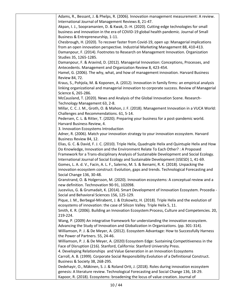| Adams, R., Bessant, J. & Phelps, R. (2006). Innovation management measurement: A review.         |
|--------------------------------------------------------------------------------------------------|
| International Journal of Management Reviews 8, 21-47.                                            |
| Akpan, I. J., Soopramanien, D. & Kwak, D.-H. (2020). Cutting-edge technologies for small         |
| business and innovation in the era of COVID-19 global health pandemic. Journal of Small          |
| Business & Entrepreneurship, 1-11.                                                               |
| Chesbrough, H. (2020). To recover faster from Covid-19, open up: Managerial implications         |
| from an open innovation perspective. Industrial Marketing Management 88, 410-413.                |
| Damanpour, F. (2014). Footnotes to Research on Management Innovation. Organization               |
| Studies 35, 1265-1285.                                                                           |
| Damanpour, F. & Aravind, D. (2012). Managerial Innovation: Conceptions, Processes, and           |
| Antecedents. Management and Organization Review 8, 423-454.                                      |
| Hamel, G. (2006). The why, what, and how of management innovation. Harvard Business              |
| Review 84, 72.                                                                                   |
| Kraus, S., Pohjola, M. & Koponen, A. (2012). Innovation in family firms: an empirical analysis   |
| linking organizational and managerial innovation to corporate success. Review of Managerial      |
| Science 6, 265-286.                                                                              |
| McCausland, T. (2020). News and Analysis of the Global Innovation Scene. Research-               |
| Technology Management 63, 2-8.                                                                   |
| Millar, C. C. J. M., Groth, O. & Mahon, J. F. (2018). Management Innovation in a VUCA World:     |
| Challenges and Recommendations. 61, 5-14.                                                        |
| Pedersen, C. L. & Ritter, T. (2020). Preparing your business for a post-pandemic world.          |
| Harvard Business Review, 4.                                                                      |
| 3. Innovation Ecosystems Introduction                                                            |
| Adner, R. (2006). Match your innovation strategy to your innovation ecosystem. Harvard           |
| Business Review 84, 12.                                                                          |
| Elias, G. C. & David, F. J. C. (2010). Triple Helix, Quadruple Helix and Quintuple Helix and How |
| Do Knowledge, Innovation and the Environment Relate To Each Other? : A Proposed                  |
| Framework for a Trans-disciplinary Analysis of Sustainable Development and Social Ecology.       |
| International Journal of Social Ecology and Sustainable Development (IJSESD) 1, 41-69.           |
| Gomes, L. A. d. V., Facin, A. L. F., Salerno, M. S. & Ikenami, R. K. (2018). Unpacking the       |
| innovation ecosystem construct: Evolution, gaps and trends. Technological Forecasting and        |
| Social Change 136, 30-48.                                                                        |
| Granstrand, O. & Holgersson, M. (2020). Innovation ecosystems: A conceptual review and a         |
| new definition. Technovation 90-91, 102098.                                                      |
| Juceviius, G. & Grumadait, K. (2014). Smart Development of Innovation Ecosystem. Procedia -      |
| Social and Behavioral Sciences 156, 125-129.                                                     |
| Pique, J. M., Berbegal-Mirabent, J. & Etzkowitz, H. (2018). Triple Helix and the evolution of    |
| ecosystems of innovation: the case of Silicon Valley. Triple Helix 5, 11.                        |
| Smith, K. R. (2006). Building an Innovation Ecosystem: Process, Culture and Competencies. 20,    |
| 219-224.                                                                                         |
| Wang, P. (2009) An integrative framework for understanding the innovation ecosystem.             |
| Advancing the Study of Innovation and Globalization in Organizations. (pp. 301-314).             |
| Williamson, P. J. & De Meyer, A. (2012). Ecosystem Advantage: How to Successfully Harness        |
| the Power of Partners. 55, 24-46.                                                                |
| Williamson, P. J. & De Meyer, A. (2020) Ecosystem Edge: Sustaining Competitiveness in the        |
| Face of Disruption (216). Stanford, California: Stanford University Press.                       |
| 4. Developing Relationships and Value Generation in an Innovation Ecosystems                     |
| Carroll, A. B. (1999). Corporate Social Responsibility: Evolution of a Definitional Construct.   |
| Business & Society 38, 268-295.                                                                  |
| Dedehayir, O., Mäkinen, S. J. & Roland Ortt, J. (2018). Roles during innovation ecosystem        |
| genesis: A literature review. Technological Forecasting and Social Change 136, 18-29.            |
| Kapoor, R. (2018). Ecosystems: broadening the locus of value creation. Journal of                |
|                                                                                                  |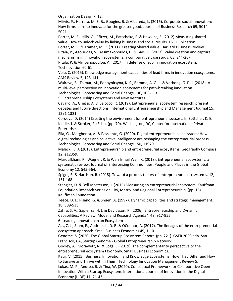| Organization Design 7, 12.                                                                       |
|--------------------------------------------------------------------------------------------------|
| Mirvis, P., Herrera, M. E. B., Googins, B. & Albareda, L. (2016). Corporate social innovation:   |
| How firms learn to innovate for the greater good. Journal of Business Research 69, 5014-         |
| 5021.                                                                                            |
| Porter, M. E., Hills, G., Pfitzer, M., Patscheke, S. & Hawkins, E. (2012) Measuring shared       |
| value: How to unlock value by linking business and social results. FSG Publication.              |
| Porter, M. E. & Kramer, M. R. (2011). Creating Shared Value. Harvard Business Review.            |
| Ritala, P., Agouridas, V., Assimakopoulos, D. & Gies, O. (2013). Value creation and capture      |
| mechanisms in innovation ecosystems: a comparative case study. 63, 244-267.                      |
| Ritala, P. & Almpanopoulou, A. (2017). In defense of eco in innovation ecosystem.                |
| Technovation 60-61                                                                               |
| Velu, C. (2015). Knowledge management capabilities of lead firms in innovation ecosystems.       |
| AMS Review 5, 123-141.                                                                           |
| Walrave, B., Talmar, M., Podoynitsyna, K. S., Romme, A. G. L. & Verbong, G. P. J. (2018). A      |
| multi-level perspective on innovation ecosystems for path-breaking innovation.                   |
| Technological Forecasting and Social Change 136, 103-113.                                        |
| 5. Entrepreneurship Ecosystems and New Ventures                                                  |
| Cavallo, A., Ghezzi, A. & Balocco, R. (2019). Entrepreneurial ecosystem research: present        |
| debates and future directions. International Entrepreneurship and Management Journal 15,         |
| 1291-1321.                                                                                       |
|                                                                                                  |
| Cordova, D. (2014) Creating the environment for entrepreneurial success. In Bettcher, K. E.,     |
| Kindle, J. & Stroker, F. (Eds.). (pp. 70). Washington, DC, Center for International Private      |
| Enterprise.                                                                                      |
| Elia, G., Margherita, A. & Passiante, G. (2020). Digital entrepreneurship ecosystem: How         |
| digital technologies and collective intelligence are reshaping the entrepreneurial process.      |
| Technological Forecasting and Social Change 150, 119791.                                         |
| Malecki, E. J. (2018). Entrepreneurship and entrepreneurial ecosystems. Geography Compass        |
| 12, e12359.                                                                                      |
| Maroufkhani, P., Wagner, R. & Wan Ismail Wan, K. (2018). Entrepreneurial ecosystems: a           |
| systematic review. Journal of Enterprising Communities: People and Places in the Global          |
| Economy 12, 545-564.                                                                             |
| Spigel, B. & Harrison, R. (2018). Toward a process theory of entrepreneurial ecosystems. 12,     |
| 151-168.                                                                                         |
| Stangler, D. & Bell-Masterson, J. (2015) Measuring an entrepreneurial ecosystem. Kauffman        |
| Foundation Research Series on City, Metro, and Regional Entrepreneurship. (pp. 16).              |
| Kauffman Foundation.                                                                             |
| Teece, D. J., Pisano, G. & Shuen, A. (1997). Dynamic capabilities and strategic management.      |
| 18, 509-533.                                                                                     |
| Zahra, S. A., Sapienza, H. J. & Davidsson, P. (2006). Entrepreneurship and Dynamic               |
| Capabilities: A Review, Model and Research Agenda*. 43, 917-955.                                 |
| 6. Leading Innovation in an Ecosystem                                                            |
| Acs, Z. J., Stam, E., Audretsch, D. B. & OConnor, A. (2017). The lineages of the entrepreneurial |
| ecosystem approach. Small Business Economics 49, 1-10.                                           |
| Genome, S. (2020) The Global Startup Ecosystem Report. (pp. 221). GSER 2020 edn. San             |
| Francisco, CA, Startup Genome - Global Entrepreneurship Network.                                 |
| Godley, A., Morawetz, N. & Soga, L. (2019). The complementarity perspective to the               |
| entrepreneurial ecosystem taxonomy. Small Business Economics.                                    |
| Katri, V. (2015). Business, Innovation, and Knowledge Ecosystems: How They Differ and How        |
| to Survive and Thrive within Them. Technology Innovation Management Review 5.                    |
| Lukas, M. P., Andrea, B. & Tina, W. (2020). Conceptual Framework for Collaborative Open          |
| Innovation With a Startup Ecosystem. International Journal of Innovation in the Digital          |
| Economy (IJIDE) 11, 21-43.                                                                       |
|                                                                                                  |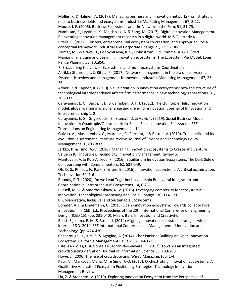| Möller, K. & Halinen, A. (2017). Managing business and innovation networksFrom strategic           |
|----------------------------------------------------------------------------------------------------|
|                                                                                                    |
| nets to business fields and ecosystems. Industrial Marketing Management 67, 5-22.                  |
| Moore, J. F. (2006). Business Ecosystems and the View from the Firm. 51, 31-75.                    |
| Nambisan, S., Lyytinen, K., Majchrzak, A. & Song, M. (2017). Digital Innovation Management:        |
| Reinventing innovation management research in a digital world. MIS Quarterly 41.                   |
| Pitelis, C. (2012). Clusters, entrepreneurial ecosystem co-creation, and appropriability: a        |
| conceptual framework. Industrial and Corporate Change 21, 1359-1388.                               |
| Talmar, M., Walrave, B., Podoynitsyna, K. S., Holmström, J. & Romme, A. G. L. (2020).              |
| Mapping, analyzing and designing innovation ecosystems: The Ecosystem Pie Model. Long              |
| Range Planning 53, 101850.                                                                         |
| 7. Broadening the view of Ecosystems and multi-ecosystems Coordination                             |
| Aarikka-Stenroos, L. & Ritala, P. (2017). Network management in the era of ecosystems:             |
| Systematic review and management framework. Industrial Marketing Management 67, 23-                |
| 36.                                                                                                |
| Adner, R. & Kapoor, R. (2010). Value creation in innovation ecosystems: how the structure of       |
| technological interdependence affects firm performance in new technology generations. 31,          |
| 306-333.                                                                                           |
| Carayannis, E. G., Barth, T. D. & Campbell, D. F. J. (2012). The Quintuple Helix innovation        |
| model: global warming as a challenge and driver for innovation. Journal of Innovation and          |
| Entrepreneurship 1, 2.                                                                             |
| Carayannis, E. G., Grigoroudis, E., Stamati, D. & Valvi, T. (2019). Social Business Model          |
| Innovation: A Quadruple/Quintuple Helix-Based Social Innovation Ecosystem. IEEE                    |
| Transactions on Engineering Management, 1-14.                                                      |
| Galvao, A., Mascarenhas, C., Marques, C., Ferreira, J. & Ratten, V. (2019). Triple helix and its   |
| evolution: a systematic literature review. Journal of Science and Technology Policy                |
| Management 10, 812-833.                                                                            |
| Jarkko, P. & Timo, A.-V. (2016). Managing Innovation Ecosystems to Create and Capture              |
| Value in ICT Industries. Technology Innovation Management Review 6.                                |
| Mantovani, A. & Ruiz-Aliseda, F. (2016). Equilibrium Innovation Ecosystems: The Dark Side of       |
| Collaborating with Complementors. 62, 534-549.                                                     |
| Oh, D.-S., Phillips, F., Park, S. & Lee, E. (2016). Innovation ecosystems: A critical examination. |
| Technovation 54, 1-6.                                                                              |
| Roundy, P. T. (2020). Do we Lead Together? Leadership Behavioral Integration and                   |
| Coordination in Entrepreneurial Ecosystems. 14, 6-25.                                              |
|                                                                                                    |
| Russell, M. G. & Smorodinskaya, N. V. (2018). Leveraging complexity for ecosystemic                |
| innovation. Technological Forecasting and Social Change 136, 114-131.                              |
| 8. Collaborative, Inclusive, and Sustainable Ecosystems                                            |
| Böhmer, A. I. & Lindemann, U. (2015) Open innovation ecosystem: Towards collaborative              |
| innovation. In ICED (Ed., Proceedings of the 20th International Conference on Engineering          |
| Design (ICED 15). (pp. 031-040). Milan, Italy, Innovation and Creativity.                          |
| Bosch-Sijtsema, P. M. & Bosch, J. (2014) Aligning innovation ecosystem strategies with             |
| internal R&D. 2014 IEEE International Conference on Management of Innovation and                   |
| Technology. (pp. 424-430).                                                                         |
| Chesbrough, H., Kim, S. & Agogino, A. (2014). Chez Panisse: Building an Open Innovation            |
| Ecosystem. California Management Review 56, 144-171.                                               |
| Estellés-Arolas, E. & González-Ladrón-de-Guevara, F. (2012). Towards an integrated                 |
| crowdsourcing definition. Journal of Information Science 38, 189-200.                              |
| Howe, J. (2006) The rise of crowdsourcing. Wired Magazine. (pp. 1-4).                              |
| Katri, V., Marko, S., Maria, M. & Simo, J.-O. (2017). Orchestrating Innovation Ecosystems: A       |
| Qualitative Analysis of Ecosystem Positioning Strategies. Technology Innovation                    |
| Management Review.                                                                                 |
| Liu, Z. & Stephens, V. (2019). Exploring Innovation Ecosystem from the Perspective of              |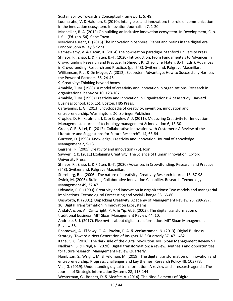| Sustainability: Towards a Conceptual Framework. 5, 48.                                         |
|------------------------------------------------------------------------------------------------|
| Luoma-aho, V. & Halonen, S. (2010). Intangibles and innovation: the role of communication      |
| in the innovation ecosystem. Innovation Journalism 7, 1-20.                                    |
| Mashelkar, R. A. (2012) On building an inclusive innovation ecosystem. In Development, C. o.   |
| I. f. I. (Ed. (pp. 54). Cape Town.                                                             |
| Mercier-Laurent, E. (2015) The innovation biosphere: Planet and brains in the digital era.     |
| London: John Wiley & Sons.                                                                     |
| Ramaswamy, V. & Ozcan, K. (2014) The co-creation paradigm. Stanford University Press.          |
| Shneor, R., Zhao, L. & Flåten, B.-T. (2020) Introduction: From Fundamentals to Advances in     |
| Crowdfunding Research and Practice. In Shneor, R., Zhao, L. & Flåten, B.-T. (Eds.), Advances   |
| in Crowdfunding: Research and Practice. (pp. 543). Switzerland, Palgrave Macmillan.            |
| Williamson, P. J. & De Meyer, A. (2012). Ecosystem Advantage: How to Successfully Harness      |
| the Power of Partners. 55, 24-46.                                                              |
| 9. Creativity: Thinking beyond boxes                                                           |
| Amabile, T. M. (1988). A model of creativity and innovation in organizations. Research in      |
| organizational behavior 10, 123-167.                                                           |
|                                                                                                |
| Amabile, T. M. (1996) Creativity and Innovation in Organizations: A case study. Harvard        |
| Business School. (pp. 15). Boston, HBS Press.                                                  |
| Carayannis, E. G. (2013) Encyclopedia of creativity, invention, innovation and                 |
| entrepreneurship. Washington, DC: Springer Publisher.                                          |
| Cropley, D. H., Kaufman, J. C. & Cropley, A. J. (2011). Measuring Creativity for Innovation    |
| Management. Journal of technology management & innovation 6, 13-30.                            |
| Greer, C. R. & Lei, D. (2012). Collaborative Innovation with Customers: A Review of the        |
| Literature and Suggestions for Future Research*. 14, 63-84.                                    |
| Gurteen, D. (1998). Knowledge, Creativity and Innovation. Journal of Knowledge                 |
| Management 2, 5-13.                                                                            |
| Legrenzi, P. (2005) Creativity and innovation (75). Icon.                                      |
| Sawyer, R. K. (2011) Explaining Creativity: The Science of Human Innovation. Oxford            |
| University Press.                                                                              |
| Shneor, R., Zhao, L. & Flåten, B.-T. (2020) Advances in Crowdfunding: Research and Practice    |
| (543). Switzerland: Palgrave Macmillan.                                                        |
| Sternberg, R. J. (2006). The nature of creativity. Creativity Research Journal 18, 87-98.      |
| Swink, M. (2006). Building Collaborative Innovation Capability. Research-Technology            |
| Management 49, 37-47.                                                                          |
| Udwadia, F. E. (1990). Creativity and innovation in organizations: Two models and managerial   |
| implications. Technological Forecasting and Social Change 38, 65-80.                           |
| Unsworth, K. (2001). Unpacking Creativity. Academy of Management Review 26, 289-297.           |
| 10. Digital Transformation in Innovation Ecosystems                                            |
| Andal-Ancion, A., Cartwright, P. A. & Yip, G. S. (2003). The digital transformation of         |
| traditional business. MIT Sloan Management Review 44, 10.                                      |
| Andriole, S. J. (2017). Five myths about digital transformation. MIT Sloan Management          |
| Review 58.                                                                                     |
| Bharadwaj, A., El Sawy, O. A., Pavlou, P. A. & Venkatraman, N. (2013). Digital Business        |
| Strategy: Toward a Next Generation of Insights. MIS Quarterly 37, 471-482.                     |
| Kane, G. C. (2016). The dark side of the digital revolution. MIT Sloan Management Review 57.   |
| Nadkarni, S. & Prügl, R. (2020). Digital transformation: a review, synthesis and opportunities |
| for future research. Management Review Quarterly.                                              |
| Nambisan, S., Wright, M. & Feldman, M. (2019). The digital transformation of innovation and    |
| entrepreneurship: Progress, challenges and key themes. Research Policy 48, 103773.             |
| Vial, G. (2019). Understanding digital transformation: A review and a research agenda. The     |
| Journal of Strategic Information Systems 28, 118-144.                                          |
| Westerman, G., Bonnet, D. & McAfee, A. (2014). The Nine Elements of Digital                    |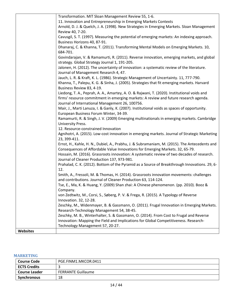|                 | Transformation. MIT Sloan Management Review 55, 1-6.<br>11. Innovation and Entrepreneurship in Emerging Markets Contexts |
|-----------------|--------------------------------------------------------------------------------------------------------------------------|
|                 |                                                                                                                          |
|                 | Arnold, D. J. & Quelch, J. A. (1998). New Strategies in Emerging Markets. Sloan Management<br>Review 40, 7-20.           |
|                 | Cavusgil, S. T. (1997). Measuring the potential of emerging markets: An indexing approach.                               |
|                 | Business Horizons 40, 87-91.                                                                                             |
|                 | Dhanaraj, C. & Khanna, T. (2011). Transforming Mental Models on Emerging Markets. 10,                                    |
|                 | 684-701.                                                                                                                 |
|                 | Govindarajan, V. & Ramamurti, R. (2011). Reverse innovation, emerging markets, and global                                |
|                 | strategy. Global Strategy Journal 1, 191-205.                                                                            |
|                 | Jalonen, H. (2012). The uncertainty of innovation: a systematic review of the literature.                                |
|                 | Journal of Management Research 4, 47.                                                                                    |
|                 | Jauch, L. R. & Kraft, K. L. (1986). Strategic Management of Uncertainty. 11, 777-790.                                    |
|                 | Khanna, T., Palepu, K. G. & Sinha, J. (2005). Strategies that fit emerging markets. Harvard                              |
|                 | Business Review 83, 4-19.                                                                                                |
|                 | Liedong, T. A., Peprah, A. A., Amartey, A. O. & Rajwani, T. (2020). Institutional voids and                              |
|                 | firms' resource commitment in emerging markets: A review and future research agenda.                                     |
|                 | Journal of International Management 26, 100756.                                                                          |
|                 | Mair, J., Marti Lanuza, I. & Ganly, K. (2007). Institutional voids as spaces of opportunity.                             |
|                 | European Business Forum Winter, 34-39.                                                                                   |
|                 | Ramamurti, R. & Singh, J. V. (2009) Emerging multinationals in emerging markets. Cambridge<br>University Press.          |
|                 | 12. Resource-constrained Innovation                                                                                      |
|                 | Agnihotri, A. (2015). Low-cost innovation in emerging markets. Journal of Strategic Marketing                            |
|                 | 23, 399-411.                                                                                                             |
|                 | Ernst, H., Kahle, H. N., Dubiel, A., Prabhu, J. & Subramaniam, M. (2015). The Antecedents and                            |
|                 | Consequences of Affordable Value Innovations for Emerging Markets. 32, 65-79.                                            |
|                 | Hossain, M. (2016). Grassroots innovation: A systematic review of two decades of research.                               |
|                 | Journal of Cleaner Production 137, 973-981.                                                                              |
|                 | Prahalad, C. K. (2012). Bottom of the Pyramid as a Source of Breakthrough Innovations. 29, 6-                            |
|                 | 12.                                                                                                                      |
|                 | Smith, A., Fressoli, M. & Thomas, H. (2014). Grassroots innovation movements: challenges                                 |
|                 | and contributions. Journal of Cleaner Production 63, 114-124.                                                            |
|                 | Tse, E., Ma, K. & Huang, Y. (2009) Shan zhai: A Chinese phenomenon. (pp. 2010). Booz &                                   |
|                 | Company.<br>von Zedtwitz, M., Corsi, S., Søberg, P. V. & Frega, R. (2015). A Typology of Reverse                         |
|                 | Innovation. 32, 12-28.                                                                                                   |
|                 | Zeschky, M., Widenmayer, B. & Gassmann, O. (2011). Frugal Innovation in Emerging Markets.                                |
|                 | Research-Technology Management 54, 38-45.                                                                                |
|                 | Zeschky, M. B., Winterhalter, S. & Gassmann, O. (2014). From Cost to Frugal and Reverse                                  |
|                 | Innovation: Mapping the Field and Implications for Global Competitiveness. Research-                                     |
|                 | Technology Management 57, 20-27.                                                                                         |
| <b>Websites</b> |                                                                                                                          |

## <span id="page-13-0"></span>**MARKETING**

| <b>Course Code</b>  | PGE.FINM1.MKCOR.0411      |
|---------------------|---------------------------|
| <b>ECTS Credits</b> |                           |
| Course Leader       | <b>FERRANTE Guillaume</b> |
| Synchronous         | 18                        |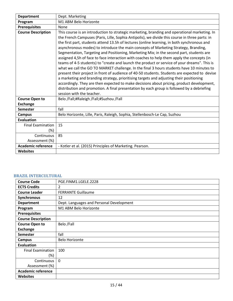| <b>Department</b>         | Dept. Marketing                                                                                                                                                                                                                                                                                                                                                                                                                                                                                                                                                                                                                                                                                                                                                                                                                                                                                                                                                                                                                                                                                                                                                                                  |
|---------------------------|--------------------------------------------------------------------------------------------------------------------------------------------------------------------------------------------------------------------------------------------------------------------------------------------------------------------------------------------------------------------------------------------------------------------------------------------------------------------------------------------------------------------------------------------------------------------------------------------------------------------------------------------------------------------------------------------------------------------------------------------------------------------------------------------------------------------------------------------------------------------------------------------------------------------------------------------------------------------------------------------------------------------------------------------------------------------------------------------------------------------------------------------------------------------------------------------------|
| Program                   | M1 ABM Belo Horizonte                                                                                                                                                                                                                                                                                                                                                                                                                                                                                                                                                                                                                                                                                                                                                                                                                                                                                                                                                                                                                                                                                                                                                                            |
| <b>Prerequisites</b>      | None                                                                                                                                                                                                                                                                                                                                                                                                                                                                                                                                                                                                                                                                                                                                                                                                                                                                                                                                                                                                                                                                                                                                                                                             |
| <b>Course Description</b> | This course is an introduction to strategic marketing, branding and operational marketing. In<br>the French Campuses (Paris, Lille, Sophia Antipolis), we divide this course in three parts: in<br>the first part, students attend 13.5h of lectures (online learning, in both synchronous and<br>asynchronous modes) to introduce the main concepts of Marketing Strategy, Branding,<br>Segmentation, Targeting and Positioning, Marketing Mix; in the second part, students are<br>assigned 4,5h of face to face interaction with coaches to help them apply the concepts (in<br>teams of 4-5 students) to "create and launch the product or service of your dreams". This is<br>what we call the GO TO MARKET challenge. In the final 3 hours students have 10 minutes to<br>present their project in front of audience of 40-50 students. Students are expected to devise<br>a marketing and branding strategy, prioritising targets and adjusting their positioning<br>accordingly. They are then expected to make decisions about pricing, product development,<br>distribution and promotion. A final presentation by each group is followed by a debriefing<br>session with the teacher. |
| <b>Course Open to</b>     | Belo /Fall;#Raleigh /Fall;#Suzhou /Fall                                                                                                                                                                                                                                                                                                                                                                                                                                                                                                                                                                                                                                                                                                                                                                                                                                                                                                                                                                                                                                                                                                                                                          |
| <b>Exchange</b>           |                                                                                                                                                                                                                                                                                                                                                                                                                                                                                                                                                                                                                                                                                                                                                                                                                                                                                                                                                                                                                                                                                                                                                                                                  |
| <b>Semester</b>           | fall                                                                                                                                                                                                                                                                                                                                                                                                                                                                                                                                                                                                                                                                                                                                                                                                                                                                                                                                                                                                                                                                                                                                                                                             |
| <b>Campus</b>             | Belo Horizonte, Lille, Paris, Raleigh, Sophia, Stellenbosch-Le Cap, Suzhou                                                                                                                                                                                                                                                                                                                                                                                                                                                                                                                                                                                                                                                                                                                                                                                                                                                                                                                                                                                                                                                                                                                       |
| Evaluation                |                                                                                                                                                                                                                                                                                                                                                                                                                                                                                                                                                                                                                                                                                                                                                                                                                                                                                                                                                                                                                                                                                                                                                                                                  |
| <b>Final Examination</b>  | 15                                                                                                                                                                                                                                                                                                                                                                                                                                                                                                                                                                                                                                                                                                                                                                                                                                                                                                                                                                                                                                                                                                                                                                                               |
| (%)                       |                                                                                                                                                                                                                                                                                                                                                                                                                                                                                                                                                                                                                                                                                                                                                                                                                                                                                                                                                                                                                                                                                                                                                                                                  |
| Continuous                | 85                                                                                                                                                                                                                                                                                                                                                                                                                                                                                                                                                                                                                                                                                                                                                                                                                                                                                                                                                                                                                                                                                                                                                                                               |
| Assessment (%)            |                                                                                                                                                                                                                                                                                                                                                                                                                                                                                                                                                                                                                                                                                                                                                                                                                                                                                                                                                                                                                                                                                                                                                                                                  |
| <b>Academic reference</b> | - Kotler et al. (2015) Principles of Marketing. Pearson.                                                                                                                                                                                                                                                                                                                                                                                                                                                                                                                                                                                                                                                                                                                                                                                                                                                                                                                                                                                                                                                                                                                                         |
| <b>Websites</b>           |                                                                                                                                                                                                                                                                                                                                                                                                                                                                                                                                                                                                                                                                                                                                                                                                                                                                                                                                                                                                                                                                                                                                                                                                  |

#### <span id="page-14-0"></span>**BRAZIL INTERCULTURAL**

| <b>Course Code</b>        | PGE.FINM1.LGELE.2228                     |
|---------------------------|------------------------------------------|
| <b>ECTS Credits</b>       | 2                                        |
| <b>Course Leader</b>      | <b>FERRANTE Guillaume</b>                |
| Synchronous               | 12                                       |
| <b>Department</b>         | Dept. Languages and Personal Development |
| Program                   | M1 ABM Belo Horizonte                    |
| <b>Prerequisites</b>      |                                          |
| <b>Course Description</b> |                                          |
| <b>Course Open to</b>     | Belo /Fall                               |
| <b>Exchange</b>           |                                          |
| <b>Semester</b>           | fall                                     |
| <b>Campus</b>             | <b>Belo Horizonte</b>                    |
| <b>Evaluation</b>         |                                          |
| <b>Final Examination</b>  | 100                                      |
| (%)                       |                                          |
| Continuous                | $\mathbf{0}$                             |
| Assessment (%)            |                                          |
| <b>Academic reference</b> |                                          |
| <b>Websites</b>           |                                          |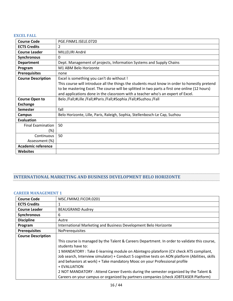### <span id="page-15-0"></span>**EXCEL FALL**

| <b>Course Code</b>        | PGE.FINM1.ISELE.0720                                                                          |
|---------------------------|-----------------------------------------------------------------------------------------------|
| <b>ECTS Credits</b>       | 2                                                                                             |
| <b>Course Leader</b>      | MILLELIRI André                                                                               |
| Synchronous               | 0                                                                                             |
| <b>Department</b>         | Dept. Management of projects, Information Systems and Supply Chains                           |
| Program                   | M1 ABM Belo Horizonte                                                                         |
| <b>Prerequisites</b>      | none                                                                                          |
| <b>Course Description</b> | Excel is something you can't do without !                                                     |
|                           | This course will introduce all the things the students must know in order to honestly pretend |
|                           | to be mastering Excel. The course will be splitted in two parts a first one online (12 hours) |
|                           | and applications done in the classroom with a teacher who's an expert of Excel.               |
| <b>Course Open to</b>     | Belo /Fall;#Lille /Fall;#Paris /Fall;#Sophia /Fall;#Suzhou /Fall                              |
| <b>Exchange</b>           |                                                                                               |
| <b>Semester</b>           | fall                                                                                          |
| Campus                    | Belo Horizonte, Lille, Paris, Raleigh, Sophia, Stellenbosch-Le Cap, Suzhou                    |
| <b>Evaluation</b>         |                                                                                               |
| <b>Final Examination</b>  | 50                                                                                            |
| $(\%)$                    |                                                                                               |
| Continuous                | 50                                                                                            |
| Assessment (%)            |                                                                                               |
| <b>Academic reference</b> |                                                                                               |
| <b>Websites</b>           |                                                                                               |

# <span id="page-15-1"></span>**INTERNATIONAL MARKETING AND BUSINESS DEVELOPMENT BELO HORIZONTE**

#### <span id="page-15-2"></span>**CAREER MANAGEMENT 1**

| <b>Course Code</b>        | MSC.FMIM2.FICOR.0201                                                                            |
|---------------------------|-------------------------------------------------------------------------------------------------|
| <b>ECTS Credits</b>       |                                                                                                 |
| <b>Course Leader</b>      | <b>BEAUGRAND Audrey</b>                                                                         |
| Synchronous               | 6                                                                                               |
| <b>Discipline</b>         | Autre                                                                                           |
| Program                   | International Marketing and Business Development Belo Horizonte                                 |
| <b>Prerequisites</b>      | NoPrerequisites                                                                                 |
| <b>Course Description</b> |                                                                                                 |
|                           | This course is managed by the Talent & Careers Department. In order to validate this course,    |
|                           | students have to:                                                                               |
|                           | 1 MANDATORY : Take E-learning module on Abintegro plateform (CV check ATS compliant,            |
|                           | Job search, Interview simulator) + Conduct 5 cognitive tests on AON platform (Abilities, skills |
|                           | and behaviors at work) + Take mandatory Mooc on your Professional profile                       |
|                           | + EVALUATION                                                                                    |
|                           | 2 NOT MANDATORY : Attend Career Events during the semester organized by the Talent &            |
|                           | Careers on your campus or organized by partners companies (check JOBTEASER Platform)            |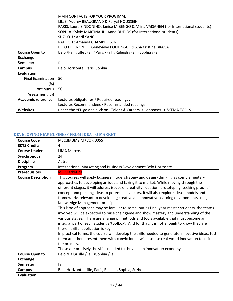|                          | MAIN CONTACTS FOR YOUR PROGRAM:                                                      |
|--------------------------|--------------------------------------------------------------------------------------|
|                          | LILLE: Audrey BEAUGRAND & Feryel HOUSSEIN                                            |
|                          | PARIS: Laura SINDONINO, Janice M'BENGO & Miina VAISANEN (for International students) |
|                          | SOPHIA: Sylvie MARTINAUD, Anne DUFLOS (for International students)                   |
|                          | <b>SUZHOU: April YANG</b>                                                            |
|                          | RALEIGH: Amanda CHAMBERLAIN                                                          |
|                          | BELO HORIZONTE: Geneviève POULINGUE & Ana Cristina BRAGA                             |
| <b>Course Open to</b>    | Belo /Fall;#Lille /Fall;#Paris /Fall;#Raleigh /Fall;#Sophia /Fall                    |
| <b>Exchange</b>          |                                                                                      |
| <b>Semester</b>          | fall                                                                                 |
| Campus                   | Belo Horizonte, Paris, Sophia                                                        |
| <b>Evaluation</b>        |                                                                                      |
| <b>Final Examination</b> | 50                                                                                   |
| (%)                      |                                                                                      |
| Continuous               | 50                                                                                   |
| Assessment (%)           |                                                                                      |
| Academic reference       | Lectures obligatoires / Required readings :                                          |
|                          | Lectures Recommandées / Recommanded readings :                                       |
| <b>Websites</b>          | under the YEP go and click on: Talent & Careers -> Jobteaser -> SKEMA TOOLS          |

# <span id="page-16-0"></span>**DEVELOPING NEW BUSINESS FROM IDEA TO MARKET**

| <b>Course Code</b>        | MSC.IMBM2.MKCOR.0055                                                                                                                                                                                                                                                                                                                                                                                                                                                                                                                                                                                                                                                                                                                                                                                                                                                                                                                                                                                                                                                                                                                                                                                                           |
|---------------------------|--------------------------------------------------------------------------------------------------------------------------------------------------------------------------------------------------------------------------------------------------------------------------------------------------------------------------------------------------------------------------------------------------------------------------------------------------------------------------------------------------------------------------------------------------------------------------------------------------------------------------------------------------------------------------------------------------------------------------------------------------------------------------------------------------------------------------------------------------------------------------------------------------------------------------------------------------------------------------------------------------------------------------------------------------------------------------------------------------------------------------------------------------------------------------------------------------------------------------------|
| <b>ECTS Credits</b>       | 4                                                                                                                                                                                                                                                                                                                                                                                                                                                                                                                                                                                                                                                                                                                                                                                                                                                                                                                                                                                                                                                                                                                                                                                                                              |
| <b>Course Leader</b>      | <b>LIMA Marcos</b>                                                                                                                                                                                                                                                                                                                                                                                                                                                                                                                                                                                                                                                                                                                                                                                                                                                                                                                                                                                                                                                                                                                                                                                                             |
| <b>Synchronous</b>        | 24                                                                                                                                                                                                                                                                                                                                                                                                                                                                                                                                                                                                                                                                                                                                                                                                                                                                                                                                                                                                                                                                                                                                                                                                                             |
| <b>Discipline</b>         | Autre                                                                                                                                                                                                                                                                                                                                                                                                                                                                                                                                                                                                                                                                                                                                                                                                                                                                                                                                                                                                                                                                                                                                                                                                                          |
| Program                   | International Marketing and Business Development Belo Horizonte                                                                                                                                                                                                                                                                                                                                                                                                                                                                                                                                                                                                                                                                                                                                                                                                                                                                                                                                                                                                                                                                                                                                                                |
| <b>Prerequisites</b>      | <b>M1 Marketing</b>                                                                                                                                                                                                                                                                                                                                                                                                                                                                                                                                                                                                                                                                                                                                                                                                                                                                                                                                                                                                                                                                                                                                                                                                            |
| <b>Course Description</b> | This courses will apply business model strategy and design-thinking as complementary<br>approaches to developing an idea and taking it to market. While moving through the<br>different stages, it will address issues of creativity, ideation, prototyping, seeking proof of<br>concept and pitching ideas to potential investors. It will also explore ideas, models and<br>frameworks relevant to developing creative and innovative learning environments using<br>Knowledge Management principles.<br>This kind of approach may be familiar to some, but as final-year master students, the teams<br>involved will be expected to raise their game and show mastery and understanding of the<br>various stages. There are a range of methods and tools available that must become an<br>integral part of each student's 'toolbox'. And for that, it is not enough to know they are<br>there - skilful application is key.<br>In practical terms, the course will develop the skills needed to generate innovative ideas, test<br>them and then present them with conviction. It will also use real-world innovation tools in<br>the process.<br>These are precisely the skills needed to thrive in an innovation economy. |
| <b>Course Open to</b>     | Belo /Fall;#Lille /Fall;#Sophia /Fall                                                                                                                                                                                                                                                                                                                                                                                                                                                                                                                                                                                                                                                                                                                                                                                                                                                                                                                                                                                                                                                                                                                                                                                          |
| <b>Exchange</b>           |                                                                                                                                                                                                                                                                                                                                                                                                                                                                                                                                                                                                                                                                                                                                                                                                                                                                                                                                                                                                                                                                                                                                                                                                                                |
| <b>Semester</b>           | fall                                                                                                                                                                                                                                                                                                                                                                                                                                                                                                                                                                                                                                                                                                                                                                                                                                                                                                                                                                                                                                                                                                                                                                                                                           |
| <b>Campus</b>             | Belo Horizonte, Lille, Paris, Raleigh, Sophia, Suzhou                                                                                                                                                                                                                                                                                                                                                                                                                                                                                                                                                                                                                                                                                                                                                                                                                                                                                                                                                                                                                                                                                                                                                                          |
| <b>Evaluation</b>         |                                                                                                                                                                                                                                                                                                                                                                                                                                                                                                                                                                                                                                                                                                                                                                                                                                                                                                                                                                                                                                                                                                                                                                                                                                |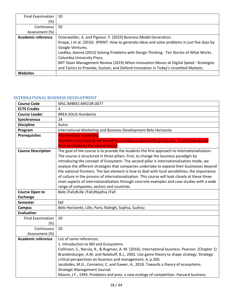| <b>Final Examination</b> | -50                                                                                           |
|--------------------------|-----------------------------------------------------------------------------------------------|
| (%)                      |                                                                                               |
| Continuous               | 50                                                                                            |
| Assessment (%)           |                                                                                               |
| Academic reference       | Osterwalder, A. and Pigneur, Y. (2010) Business Model Generation.                             |
|                          | Knapp, J et al. (2016). SPRINT: How to generate ideas and solve problems in just five days by |
|                          | Google Ventures.                                                                              |
|                          | Liedtka, Jeanne (2013) Solving Problems with Design Thinking: Ten Stories of What Works.      |
|                          | Columbia University Press.                                                                    |
|                          | MIT Sloan Management Review (2019) When Innovation Moves at Digital Speed : Strategies        |
|                          | and Tactics to Provoke, Sustain, and Defend Innovation in Today's Unsettled Markets.          |
| Websites                 |                                                                                               |

#### <span id="page-17-0"></span>**INTERNATIONAL BUSINESS DEVELOPMENT**

| <b>Course Code</b>        | MSC.IMBM2.MKCOR.0077                                                                                                                                                                                                                                                                                                                                                                                                                                                                                                                                                                                                                                                                                                                |
|---------------------------|-------------------------------------------------------------------------------------------------------------------------------------------------------------------------------------------------------------------------------------------------------------------------------------------------------------------------------------------------------------------------------------------------------------------------------------------------------------------------------------------------------------------------------------------------------------------------------------------------------------------------------------------------------------------------------------------------------------------------------------|
| <b>ECTS Credits</b>       | 4                                                                                                                                                                                                                                                                                                                                                                                                                                                                                                                                                                                                                                                                                                                                   |
| <b>Course Leader</b>      | <b>BREA SOLIS Humberto</b>                                                                                                                                                                                                                                                                                                                                                                                                                                                                                                                                                                                                                                                                                                          |
| Synchronous               | 24                                                                                                                                                                                                                                                                                                                                                                                                                                                                                                                                                                                                                                                                                                                                  |
| <b>Discipline</b>         | Autre                                                                                                                                                                                                                                                                                                                                                                                                                                                                                                                                                                                                                                                                                                                               |
| Program                   | International Marketing and Business Development Belo Horizonte                                                                                                                                                                                                                                                                                                                                                                                                                                                                                                                                                                                                                                                                     |
| <b>Prerequisites</b>      | Intermediate marketing                                                                                                                                                                                                                                                                                                                                                                                                                                                                                                                                                                                                                                                                                                              |
|                           | Numbers may have to be limited to maintain a reasonable group size. A selection would                                                                                                                                                                                                                                                                                                                                                                                                                                                                                                                                                                                                                                               |
|                           | then be made by the course leader                                                                                                                                                                                                                                                                                                                                                                                                                                                                                                                                                                                                                                                                                                   |
| <b>Course Description</b> | The goal of the course is to provide the students the first approach to internationalization.<br>The course is structured in three pillars. First, to change the business paradigm by<br>introducing the concept of Ecosystem. The second pillar is internationalization mode, we<br>analyze the different strategies that companies undertake to expand their businesses beyond<br>the national frontiers. The last element is how to deal with local sensibilities; the importance<br>of culture in the process of internationalization. This course will look closely at these three<br>main aspects of internationalization through concrete examples and case studies with a wide<br>range of companies, sectors and countries |
| <b>Course Open to</b>     | Belo /Fall;#Lille /Fall;#Sophia /Fall                                                                                                                                                                                                                                                                                                                                                                                                                                                                                                                                                                                                                                                                                               |
| <b>Exchange</b>           |                                                                                                                                                                                                                                                                                                                                                                                                                                                                                                                                                                                                                                                                                                                                     |
| <b>Semester</b>           | fall                                                                                                                                                                                                                                                                                                                                                                                                                                                                                                                                                                                                                                                                                                                                |
| <b>Campus</b>             | Belo Horizonte, Lille, Paris, Raleigh, Sophia, Suzhou                                                                                                                                                                                                                                                                                                                                                                                                                                                                                                                                                                                                                                                                               |
| <b>Evaluation</b>         |                                                                                                                                                                                                                                                                                                                                                                                                                                                                                                                                                                                                                                                                                                                                     |
| <b>Final Examination</b>  | 50                                                                                                                                                                                                                                                                                                                                                                                                                                                                                                                                                                                                                                                                                                                                  |
| (%)                       |                                                                                                                                                                                                                                                                                                                                                                                                                                                                                                                                                                                                                                                                                                                                     |
| Continuous                | 50                                                                                                                                                                                                                                                                                                                                                                                                                                                                                                                                                                                                                                                                                                                                  |
| Assessment (%)            |                                                                                                                                                                                                                                                                                                                                                                                                                                                                                                                                                                                                                                                                                                                                     |
| <b>Academic reference</b> | List of some references:                                                                                                                                                                                                                                                                                                                                                                                                                                                                                                                                                                                                                                                                                                            |
|                           | 1. Introduction to IBD and Ecosystems                                                                                                                                                                                                                                                                                                                                                                                                                                                                                                                                                                                                                                                                                               |
|                           | Collinson, S., Narula, R., & Rugman, A. M. (2016). International business. Pearson. (Chapter 1)                                                                                                                                                                                                                                                                                                                                                                                                                                                                                                                                                                                                                                     |
|                           | Brandenburger, A.M. and Nalebuff, B.J., 2002. Use game theory to shape strategy. Strategy:                                                                                                                                                                                                                                                                                                                                                                                                                                                                                                                                                                                                                                          |
|                           | critical perspectives on business and management, 4, p.260.                                                                                                                                                                                                                                                                                                                                                                                                                                                                                                                                                                                                                                                                         |
|                           | Jacobides, M.G., Cennamo, C. and Gawer, A., 2018. Towards a theory of ecosystems.                                                                                                                                                                                                                                                                                                                                                                                                                                                                                                                                                                                                                                                   |
|                           | Strategic Management Journal.                                                                                                                                                                                                                                                                                                                                                                                                                                                                                                                                                                                                                                                                                                       |
|                           | Moore, J.F., 1993. Predators and prey: a new ecology of competition. Harvard business                                                                                                                                                                                                                                                                                                                                                                                                                                                                                                                                                                                                                                               |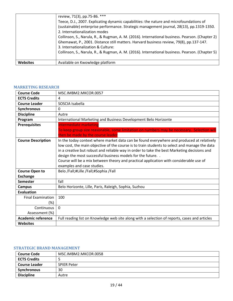|          | review, 71(3), pp.75-86. ***                                                                    |
|----------|-------------------------------------------------------------------------------------------------|
|          | Teece, D.J., 2007. Explicating dynamic capabilities: the nature and microfoundations of         |
|          | (sustainable) enterprise performance. Strategic management journal, 28(13), pp.1319-1350.       |
|          | 2. Internationalization modes                                                                   |
|          | Collinson, S., Narula, R., & Rugman, A. M. (2016). International business. Pearson. (Chapter 2) |
|          | Ghemawat, P., 2001. Distance still matters. Harvard business review, 79(8), pp.137-147.         |
|          | 3. Internationalization & Culture:                                                              |
|          | Collinson, S., Narula, R., & Rugman, A. M. (2016). International business. Pearson. (Chapter 5) |
|          |                                                                                                 |
| Websites | Available on Kwowledge platform                                                                 |

#### <span id="page-18-0"></span>**MARKETING RESEARCH**

| <b>Course Code</b>        | MSC.IMBM2.MKCOR.0057                                                                          |
|---------------------------|-----------------------------------------------------------------------------------------------|
| <b>ECTS Credits</b>       | 4                                                                                             |
| <b>Course Leader</b>      | SOSCIA Isabella                                                                               |
| Synchronous               | 0                                                                                             |
| <b>Discipline</b>         | Autre                                                                                         |
| Program                   | International Marketing and Business Development Belo Horizonte                               |
| <b>Prerequisites</b>      | <b>Intermediate marketing</b>                                                                 |
|                           | To keep group size reasonable, some limitation on numbers may be necessary. Selection will    |
|                           | then be made by the course leader                                                             |
| <b>Course Description</b> | In the today context where market data can be found everywhere and produced at relatively     |
|                           | low cost, the main objective of the course is to train students to select and manage the data |
|                           | in a creative but robust and reliable way in order to take the best Marketing decisions and   |
|                           | design the most successful business models for the future                                     |
|                           | Course will be a mix between theory and practical application with considerable use of        |
|                           | examples and case studies.                                                                    |
| <b>Course Open to</b>     | Belo /Fall;#Lille /Fall;#Sophia /Fall                                                         |
| <b>Exchange</b>           |                                                                                               |
| <b>Semester</b>           | fall                                                                                          |
| <b>Campus</b>             | Belo Horizonte, Lille, Paris, Raleigh, Sophia, Suzhou                                         |
| <b>Evaluation</b>         |                                                                                               |
| <b>Final Examination</b>  | 100                                                                                           |
| $(\%)$                    |                                                                                               |
| Continuous                | $\Omega$                                                                                      |
| Assessment (%)            |                                                                                               |
| <b>Academic reference</b> | Full reading list on Knowledge web site along with a selection of reports, cases and articles |
| <b>Websites</b>           |                                                                                               |

#### <span id="page-18-1"></span>**STRATEGIC BRAND MANAGEMENT**

| <b>Course Code</b>   | MSC.IMBM2.MKCOR.0058 |
|----------------------|----------------------|
| <b>ECTS Credits</b>  |                      |
| <b>Course Leader</b> | <b>SPIER Peter</b>   |
| <b>Synchronous</b>   | 30                   |
| <b>Discipline</b>    | Autre                |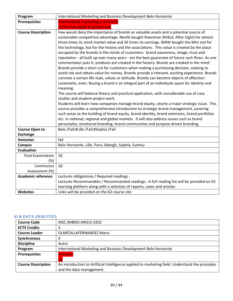| Program                   | International Marketing and Business Development Belo Horizonte                                                                                                                        |
|---------------------------|----------------------------------------------------------------------------------------------------------------------------------------------------------------------------------------|
| <b>Prerequisites</b>      | Intermediate marketing is essential                                                                                                                                                    |
|                           | Limits may apply to group sizes                                                                                                                                                        |
| <b>Course Description</b> | Few would deny the importance of brands as valuable assets and a potential source of                                                                                                   |
|                           | sustainable competitive advantage. Nestlé bought Rowntree (KitKat, After Eight) for almost                                                                                             |
|                           | three times its stock market value and 26 times its earnings. BMW bought the Mini not for                                                                                              |
|                           | the technology, but for the history and the associations. This value is created by the place                                                                                           |
|                           | occupied by the brands in the minds of customers: brand awareness, image, trust and<br>reputation - all built up over many years - are the best guarantee of future cash flows. As one |
|                           | commentator puts it: products are created in the factory. Brands are created in the mind'.                                                                                             |
|                           | Brands provide a short cut for customers when making a purchasing decision, seeking to                                                                                                 |
|                           | avoid risk and obtain value for money. Brands provide a relevant, exciting experience. Brands                                                                                          |
|                           | connote a certain life style, values or attitude. Brands can become objects of affection:                                                                                              |
|                           | Lovemarks, even. Buying a brand is an integral part of an individuals quest for identity and<br>meaning.                                                                               |
|                           | The course will balance theory and practical application, with considerable use of case                                                                                                |
|                           | studies and student project work.                                                                                                                                                      |
|                           | Students will learn how companies manage brand equity, clearly a major strategic issue. This                                                                                           |
|                           | course provides a comprehensive introduction to strategic brand management, covering                                                                                                   |
|                           | such areas as the building of brand equity, brand identity, brand extension, brand portfolios                                                                                          |
|                           | etc. in national, regional and global markets. It will also address issues such as brand                                                                                               |
|                           | personality, emotional branding, brand communities and purpose-driven branding.                                                                                                        |
| <b>Course Open to</b>     | Belo /Fall;#Lille /Fall;#Sophia /Fall                                                                                                                                                  |
| <b>Exchange</b>           |                                                                                                                                                                                        |
| <b>Semester</b>           | fall                                                                                                                                                                                   |
| <b>Campus</b>             | Belo Horizonte, Lille, Paris, Raleigh, Sophia, Suzhou                                                                                                                                  |
| <b>Evaluation</b>         |                                                                                                                                                                                        |
| <b>Final Examination</b>  | 50                                                                                                                                                                                     |
| (%)                       |                                                                                                                                                                                        |
| Continuous                | 50                                                                                                                                                                                     |
| Assessment (%)            |                                                                                                                                                                                        |
| <b>Academic reference</b> | Lectures obligatoires / Required readings :                                                                                                                                            |
|                           | Lectures Recommandées / Recommanded readings : A full reading list will be provided on K2                                                                                              |
|                           | learning platform along with a selection of reports, cases and articles                                                                                                                |
| <b>Websites</b>           | Links will be provided on the K2 course site                                                                                                                                           |

# <span id="page-19-0"></span>**AI & DATA ANALYTICS**

| <b>Course Code</b>        | MSC.IMBM2.MKELE.0202                                                                             |
|---------------------------|--------------------------------------------------------------------------------------------------|
| <b>ECTS Credits</b>       | 3                                                                                                |
| <b>Course Leader</b>      | OLMEDILLAFERNANDEZ Maria                                                                         |
| <b>Synchronous</b>        | 0                                                                                                |
| <b>Discipline</b>         | Autre                                                                                            |
| Program                   | International Marketing and Business Development Belo Horizonte                                  |
| <b>Prerequisites</b>      | analytics<br>xls                                                                                 |
| <b>Course Description</b> | An introduction to Artificial Intelligence applied to marketing field. Understand the principles |
|                           | and the data management.                                                                         |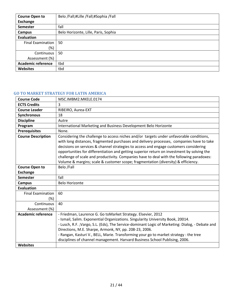| <b>Course Open to</b>     | Belo /Fall;#Lille /Fall;#Sophia /Fall |
|---------------------------|---------------------------------------|
| Exchange                  |                                       |
| Semester                  | fall                                  |
| Campus                    | Belo Horizonte, Lille, Paris, Sophia  |
| Evaluation                |                                       |
| <b>Final Examination</b>  | 50                                    |
| (%)                       |                                       |
| Continuous                | 50                                    |
| Assessment (%)            |                                       |
| <b>Academic reference</b> | tbd                                   |
| <b>Websites</b>           | tbd                                   |

# <span id="page-20-0"></span>**GO TO MARKET STRATEGY FOR LATIN AMERICA**

| <b>Course Code</b>        | MSC.IMBM2.MKELE.0174                                                                                                                                                                                                                                                                                                                                                                                                                                                                                                                                         |
|---------------------------|--------------------------------------------------------------------------------------------------------------------------------------------------------------------------------------------------------------------------------------------------------------------------------------------------------------------------------------------------------------------------------------------------------------------------------------------------------------------------------------------------------------------------------------------------------------|
| <b>ECTS Credits</b>       | 3                                                                                                                                                                                                                                                                                                                                                                                                                                                                                                                                                            |
| <b>Course Leader</b>      | RIBEIRO, Aurea-EXT                                                                                                                                                                                                                                                                                                                                                                                                                                                                                                                                           |
| Synchronous               | 18                                                                                                                                                                                                                                                                                                                                                                                                                                                                                                                                                           |
| <b>Discipline</b>         | Autre                                                                                                                                                                                                                                                                                                                                                                                                                                                                                                                                                        |
| Program                   | International Marketing and Business Development Belo Horizonte                                                                                                                                                                                                                                                                                                                                                                                                                                                                                              |
| <b>Prerequisites</b>      | None.                                                                                                                                                                                                                                                                                                                                                                                                                                                                                                                                                        |
| <b>Course Description</b> | Considering the challenge to access niches and/or targets under unfavorable conditions,<br>with long distances, fragmented purchases and delivery processes, companies have to take<br>decisions on services & channel strategies to access and engage customers considering<br>opportunities for differentiation and getting superior return on investment by solving the<br>challenge of scale and productivity. Companies have to deal with the following paradoxes:<br>Volume & margins; scale & customer scope; fragmentation (diversity) & efficiency. |
| <b>Course Open to</b>     | Belo /Fall                                                                                                                                                                                                                                                                                                                                                                                                                                                                                                                                                   |
| <b>Exchange</b>           |                                                                                                                                                                                                                                                                                                                                                                                                                                                                                                                                                              |
| <b>Semester</b>           | fall                                                                                                                                                                                                                                                                                                                                                                                                                                                                                                                                                         |
| <b>Campus</b>             | <b>Belo Horizonte</b>                                                                                                                                                                                                                                                                                                                                                                                                                                                                                                                                        |
| <b>Evaluation</b>         |                                                                                                                                                                                                                                                                                                                                                                                                                                                                                                                                                              |
| <b>Final Examination</b>  | 60                                                                                                                                                                                                                                                                                                                                                                                                                                                                                                                                                           |
| $(\%)$                    |                                                                                                                                                                                                                                                                                                                                                                                                                                                                                                                                                              |
| Continuous                | 40                                                                                                                                                                                                                                                                                                                                                                                                                                                                                                                                                           |
| Assessment (%)            |                                                                                                                                                                                                                                                                                                                                                                                                                                                                                                                                                              |
| <b>Academic reference</b> | - Friedman, Laurence G. Go toMarket Strategy. Elsevier, 2012<br>- Ismail, Salim. Exponential Organizations. Singularity University Book, 20014.<br>- Lusch, R.F.; Vargo, S.L. (Eds), The Service-dominant Logic of Marketing: Dialog, - Debate and<br>Directions, M.E. Sharpe, Armonk, NY, pp. 208-23, 2006.<br>- Rangan, Kasturi V., BELL, Marie. Transforming your go to market strategy : the tree<br>disciplines of channel management. Harvard Business School Publising, 2006.                                                                         |
| <b>Websites</b>           |                                                                                                                                                                                                                                                                                                                                                                                                                                                                                                                                                              |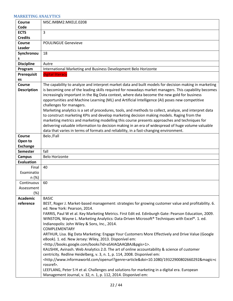#### <span id="page-21-0"></span>**MARKETING ANALYTICS**

| Course                             | MSC.IMBM2.MKELE.0208                                                                                                                                                                                          |
|------------------------------------|---------------------------------------------------------------------------------------------------------------------------------------------------------------------------------------------------------------|
| Code                               |                                                                                                                                                                                                               |
| <b>ECTS</b>                        | 3                                                                                                                                                                                                             |
| <b>Credits</b>                     |                                                                                                                                                                                                               |
| Course<br>Leader                   | <b>POULINGUE Genevieve</b>                                                                                                                                                                                    |
| Synchronou                         | 18                                                                                                                                                                                                            |
| s                                  |                                                                                                                                                                                                               |
| <b>Discipline</b>                  | Autre                                                                                                                                                                                                         |
| Program                            | International Marketing and Business Development Belo Horizonte                                                                                                                                               |
| <b>Prerequisit</b>                 | digital literacy                                                                                                                                                                                              |
| es                                 |                                                                                                                                                                                                               |
| Course<br><b>Description</b>       | The capability to analyze and interpret market data and built models for decision making in marketing<br>is becoming one of the leading skills required for nowadays market managers. This capability becomes |
|                                    | increasingly important in the Big Data context, where data become the new gold for business                                                                                                                   |
|                                    | opportunities and Machine Learning (ML) and Artificial Intelligence (AI) poses new competitive<br>challenges for managers.                                                                                    |
|                                    | Marketing analytics is a set of procedures, tools, and methods to collect, analyze, and interpret data                                                                                                        |
|                                    | to construct marketing KPIs and develop marketing decision making models. Raging from the                                                                                                                     |
|                                    | marketing metrics and marketing modelling this course presents approaches and techniques for                                                                                                                  |
|                                    | delivering valuable information to decision making in an era of widespread of huge volume valuable                                                                                                            |
|                                    | data that varies in terms of formats and reliability, in a fast-changing environment.                                                                                                                         |
| <b>Course</b>                      | Belo /Fall                                                                                                                                                                                                    |
| Open to                            |                                                                                                                                                                                                               |
| <b>Exchange</b>                    |                                                                                                                                                                                                               |
| <b>Semester</b>                    | fall                                                                                                                                                                                                          |
| <b>Campus</b><br><b>Evaluation</b> | <b>Belo Horizonte</b>                                                                                                                                                                                         |
| Final                              | 40                                                                                                                                                                                                            |
| Examinatio                         |                                                                                                                                                                                                               |
| n (%)                              |                                                                                                                                                                                                               |
| Continuous                         | 60                                                                                                                                                                                                            |
| Assessment                         |                                                                                                                                                                                                               |
| (%)                                |                                                                                                                                                                                                               |
| <b>Academic</b>                    | <b>BASIC</b>                                                                                                                                                                                                  |
| reference                          | BEST, Roger J. Market-based management: strategies for growing customer value and profitability. 6.                                                                                                           |
|                                    | ed. New York: Pearson, 2014.<br>FARRIS, Paul W et al. Key Marketing Metrics. First Edit ed. Edinburgh Gate: Pearson Education, 2009.                                                                          |
|                                    | WINSTON, Wayne L. Marketing Analytics: Data-Driven Microsoft® Techniques with Excel®. 1. ed.                                                                                                                  |
|                                    | Indianopolis: John Wiley & Sons, Inc., 2014.                                                                                                                                                                  |
|                                    | <b>COMPLEMENTARY</b>                                                                                                                                                                                          |
|                                    | ARTHUR, Lisa. Big Data Marketing: Engage Your Customers More Effectively and Drive Value (Google                                                                                                              |
|                                    | eBook). 1. ed. New Jersey: Wiley, 2013. Disponível em:                                                                                                                                                        |
|                                    | <http: books.google.com="" books?id="aSAIAQAAQBAJ&amp;pgis=1">.</http:>                                                                                                                                       |
|                                    | KAUSHIK, Avinash. Web Analytics 2.0. The art of online accountability & science of customer                                                                                                                   |
|                                    | centricity. Redline Heidelberg, v. 3, n. 1, p. 114, 2008. Disponível em:                                                                                                                                      |
|                                    | <http: openurl?genre="article&amp;doi=10.1080/19322900802660292&amp;magic=c&lt;br" www.informaworld.com="">rossref&gt;.</http:>                                                                               |
|                                    | LEEFLANG, Peter S H et al. Challenges and solutions for marketing in a digital era. European                                                                                                                  |
|                                    | Management Journal, v. 32, n. 1, p. 112, 2014. Disponível em:                                                                                                                                                 |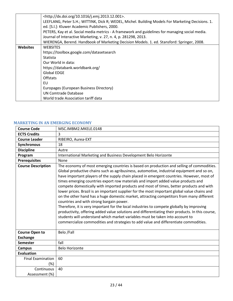|                 | <http: 10.1016="" dx.doi.org="" j.emj.2013.12.001="">.</http:>                                    |
|-----------------|---------------------------------------------------------------------------------------------------|
|                 | LEEFLANG, Peter S.H.; WITTINK, Dick R; WEDEL, Michel. Building Models For Marketing Decisions. 1. |
|                 | ed. [S.I.]: Kluwer Academic Publishers, 2000.                                                     |
|                 | PETERS, Kay et al. Social media metrics - A framework and guidelines for managing social media.   |
|                 | Journal of Interactive Marketing, v. 27, n. 4, p. 281298, 2013.                                   |
|                 | WIERENGA, Berend. Handbook of Marketing Decision Models. 1. ed. Stansford: Springer, 2008.        |
| <b>Websites</b> | <b>WEBSITES</b>                                                                                   |
|                 | https://toolbox.google.com/datasetsearch                                                          |
|                 | Statista                                                                                          |
|                 | Our World in data:                                                                                |
|                 | https://databank.worldbank.org/                                                                   |
|                 | <b>Global EDGE</b>                                                                                |
|                 | Offstats                                                                                          |
|                 | EU                                                                                                |
|                 | Europages (European Business Directory)                                                           |
|                 | UN Comtrade Database                                                                              |
|                 | World trade Association tariff data                                                               |

#### <span id="page-22-0"></span>**MARKETING IN AN EMERGING ECONOMY**

| <b>Course Code</b>        | MSC.IMBM2.MKELE.0148                                                                                                                                                                                                                                                                                                                                                                                                                                                                                                                                                                                                                                                                                                                                                                                                                                                                                                                                                                                                                                                                   |
|---------------------------|----------------------------------------------------------------------------------------------------------------------------------------------------------------------------------------------------------------------------------------------------------------------------------------------------------------------------------------------------------------------------------------------------------------------------------------------------------------------------------------------------------------------------------------------------------------------------------------------------------------------------------------------------------------------------------------------------------------------------------------------------------------------------------------------------------------------------------------------------------------------------------------------------------------------------------------------------------------------------------------------------------------------------------------------------------------------------------------|
| <b>ECTS Credits</b>       | 3                                                                                                                                                                                                                                                                                                                                                                                                                                                                                                                                                                                                                                                                                                                                                                                                                                                                                                                                                                                                                                                                                      |
| <b>Course Leader</b>      | RIBEIRO, Aurea-EXT                                                                                                                                                                                                                                                                                                                                                                                                                                                                                                                                                                                                                                                                                                                                                                                                                                                                                                                                                                                                                                                                     |
| Synchronous               | 18                                                                                                                                                                                                                                                                                                                                                                                                                                                                                                                                                                                                                                                                                                                                                                                                                                                                                                                                                                                                                                                                                     |
| <b>Discipline</b>         | Autre                                                                                                                                                                                                                                                                                                                                                                                                                                                                                                                                                                                                                                                                                                                                                                                                                                                                                                                                                                                                                                                                                  |
| Program                   | International Marketing and Business Development Belo Horizonte                                                                                                                                                                                                                                                                                                                                                                                                                                                                                                                                                                                                                                                                                                                                                                                                                                                                                                                                                                                                                        |
| <b>Prerequisites</b>      | None                                                                                                                                                                                                                                                                                                                                                                                                                                                                                                                                                                                                                                                                                                                                                                                                                                                                                                                                                                                                                                                                                   |
| <b>Course Description</b> | The economy of most emerging countries is based on production and selling of commodities.<br>Global productive chains such as agribusiness, automotive, industrial equipment and so on,<br>have important players of the supply chain placed in emergent countries. However, most of<br>times emerging countries export row materials and import added value products and<br>compete domestically with imported products and most of times, better products and with<br>lower prices. Brazil is an important supplier for the most important global value chains and<br>on the other hand has a huge domestic market, attracting competitors from many different<br>countries and with strong bargain power.<br>Therefore, it is very important for the local industries to compete globally by improving<br>productivity, offering added value solutions and differentiating their products. In this course,<br>students will understand which market variables must be taken into account to<br>commercialize commodities and strategies to add value and differentiate commodities. |
| <b>Course Open to</b>     | Belo /Fall                                                                                                                                                                                                                                                                                                                                                                                                                                                                                                                                                                                                                                                                                                                                                                                                                                                                                                                                                                                                                                                                             |
| <b>Exchange</b>           |                                                                                                                                                                                                                                                                                                                                                                                                                                                                                                                                                                                                                                                                                                                                                                                                                                                                                                                                                                                                                                                                                        |
| <b>Semester</b>           | fall                                                                                                                                                                                                                                                                                                                                                                                                                                                                                                                                                                                                                                                                                                                                                                                                                                                                                                                                                                                                                                                                                   |
| <b>Campus</b>             | <b>Belo Horizonte</b>                                                                                                                                                                                                                                                                                                                                                                                                                                                                                                                                                                                                                                                                                                                                                                                                                                                                                                                                                                                                                                                                  |
| <b>Evaluation</b>         |                                                                                                                                                                                                                                                                                                                                                                                                                                                                                                                                                                                                                                                                                                                                                                                                                                                                                                                                                                                                                                                                                        |
| <b>Final Examination</b>  | 60                                                                                                                                                                                                                                                                                                                                                                                                                                                                                                                                                                                                                                                                                                                                                                                                                                                                                                                                                                                                                                                                                     |
| (%)                       |                                                                                                                                                                                                                                                                                                                                                                                                                                                                                                                                                                                                                                                                                                                                                                                                                                                                                                                                                                                                                                                                                        |
| Continuous                | 40                                                                                                                                                                                                                                                                                                                                                                                                                                                                                                                                                                                                                                                                                                                                                                                                                                                                                                                                                                                                                                                                                     |
| Assessment (%)            |                                                                                                                                                                                                                                                                                                                                                                                                                                                                                                                                                                                                                                                                                                                                                                                                                                                                                                                                                                                                                                                                                        |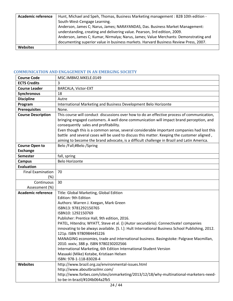| <b>Academic reference</b> | Hunt, Michael and Speh, Thomas, Business Marketing management : B2B 10th edition -   |
|---------------------------|--------------------------------------------------------------------------------------|
|                           | South-West-Cengage Learning.                                                         |
|                           | Anderson, James C; Narus, James; NARAYANDAS, Das. Business Market Management:        |
|                           | understanding, creating and delivering value. Pearson, 3rd edition, 2009.            |
|                           | Anderson, James C; Kumar, Nirmalya; Narus, James; Value Merchants: Demonstrating and |
|                           | documenting superior value in business markets. Harvard Business Review Press, 2007. |
| <b>Websites</b>           |                                                                                      |

## <span id="page-23-0"></span>**COMMUNICATION AND ENGAGEMENT IN AN EMERGING SOCIETY**

| <b>Course Code</b>        | MSC.IMBM2.MKELE.0149                                                                             |
|---------------------------|--------------------------------------------------------------------------------------------------|
| <b>ECTS Credits</b>       | 3                                                                                                |
| <b>Course Leader</b>      | BARCALA, Victor-EXT                                                                              |
| <b>Synchronous</b>        | 18                                                                                               |
| <b>Discipline</b>         | Autre                                                                                            |
| Program                   | International Marketing and Business Development Belo Horizonte                                  |
| <b>Prerequisites</b>      | None.                                                                                            |
| <b>Course Description</b> | This course will conduct discussions over how to do an effective process of communication,       |
|                           | bringing engaged customers. A well done communication will impact brand perception, and          |
|                           | consequently sales and profitability.                                                            |
|                           | Even though this is a common sense, several considerable important companies had lost this       |
|                           | battle and several cases will be used to discuss this matter. Keeping the customer aligned,      |
|                           | aiming to become the brand advocate, is a difficult challenge in Brazil and Latin America.       |
| <b>Course Open to</b>     | Belo /Fall;#Belo /Spring                                                                         |
| <b>Exchange</b>           |                                                                                                  |
| <b>Semester</b>           | fall, spring                                                                                     |
| <b>Campus</b>             | <b>Belo Horizonte</b>                                                                            |
| <b>Evaluation</b>         |                                                                                                  |
| <b>Final Examination</b>  | 70                                                                                               |
| $(\%)$                    |                                                                                                  |
| Continuous                | 30                                                                                               |
| Assessment (%)            |                                                                                                  |
| <b>Academic reference</b> | Title: Global Marketing, Global Edition                                                          |
|                           | Edition: 9th Edition                                                                             |
|                           | Authors: Warren J. Keegan, Mark Green                                                            |
|                           | ISBN13: 9781292150765                                                                            |
|                           | ISBN10: 1292150769                                                                               |
|                           | Publisher: Prentice Hall, 9th edition, 2016.                                                     |
|                           | PATEL, Hitendra; WYATT, Steve et al. () (Autor secundário). Connectivate! companies              |
|                           | innovating to be always available. [S. I.]: Hult International Business School Publishing, 2012. |
|                           | 121p. ISBN 9780984445226                                                                         |
|                           | MANAGING economies, trade and international business. Basingstoke: Palgrave Macmillan,           |
|                           | 2010. xxxiv, 388 p. ISBN 9780230202566                                                           |
|                           | International Marketing, 6th Edition International Student Version                               |
|                           | Masaaki (Mike) Kotabe, Kristiaan Helsen                                                          |
|                           | ISBN: 978-1-118-83028-4                                                                          |
| <b>Websites</b>           | http://www.brazil.org.za/environmental-issues.html                                               |
|                           | http://www.aboutbrazilmr.com/                                                                    |
|                           | http://www.forbes.com/sites/onmarketing/2013/12/18/why-multinational-marketers-need-             |
|                           | to-be-in-brazil/#104b064a2fb5                                                                    |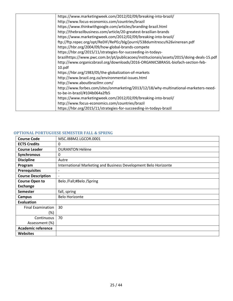| https://www.marketingweek.com/2012/02/09/breaking-into-brazil/                            |
|-------------------------------------------------------------------------------------------|
| http://www.focus-economics.com/countries/brazil                                           |
| https://www.thinkwithgoogle.com/articles/branding-brazil.html                             |
| http://thebrazilbusiness.com/article/20-greatest-brazilian-brands                         |
| https://www.marketingweek.com/2012/02/09/breaking-into-brazil/                            |
| ftp://ftp.repec.org/opt/ReDIF/RePEc/blg/journl/538dumitrescu%26vinerean.pdf               |
| https://hbr.org/2004/09/how-global-brands-compete                                         |
| https://hbr.org/2015/11/strategies-for-succeeding-in-todays-                              |
| brazilhttps://www.pwc.com.br/pt/publicacoes/institucionais/assets/2015/doing-deals-15.pdf |
| http://www.organicsbrasil.org/downloads/2016-ORGANICSBRASIL-biofach-section-feb-          |
| 10.pdf                                                                                    |
| https://hbr.org/1983/05/the-globalization-of-markets                                      |
| http://www.brazil.org.za/environmental-issues.html                                        |
| http://www.aboutbrazilmr.com/                                                             |
| http://www.forbes.com/sites/onmarketing/2013/12/18/why-multinational-marketers-need-      |
| to-be-in-brazil/#104b064a2fb5                                                             |
| https://www.marketingweek.com/2012/02/09/breaking-into-brazil/                            |
| http://www.focus-economics.com/countries/brazil                                           |
| https://hbr.org/2015/11/strategies-for-succeeding-in-todays-brazil                        |

# <span id="page-24-0"></span>**OPTIONAL PORTUGUESE SEMESTER FALL & SPRING**

| <b>Course Code</b>        | MSC.IBBM2.LGCOR.0001                                            |
|---------------------------|-----------------------------------------------------------------|
| <b>ECTS Credits</b>       | 0                                                               |
| <b>Course Leader</b>      | <b>DURANTON Hélène</b>                                          |
| Synchronous               | 0                                                               |
| <b>Discipline</b>         | Autre                                                           |
| Program                   | International Marketing and Business Development Belo Horizonte |
| <b>Prerequisites</b>      | $\overline{\phantom{a}}$                                        |
| <b>Course Description</b> | $\overline{\phantom{a}}$                                        |
| <b>Course Open to</b>     | Belo /Fall;#Belo /Spring                                        |
| <b>Exchange</b>           |                                                                 |
| <b>Semester</b>           | fall, spring                                                    |
| <b>Campus</b>             | <b>Belo Horizonte</b>                                           |
| <b>Evaluation</b>         |                                                                 |
| <b>Final Examination</b>  | 30                                                              |
| $(\%)$                    |                                                                 |
| Continuous                | 70                                                              |
| Assessment (%)            |                                                                 |
| <b>Academic reference</b> |                                                                 |
| <b>Websites</b>           |                                                                 |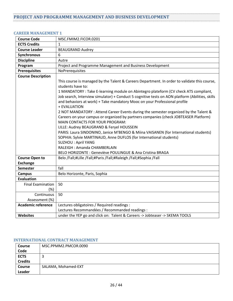<span id="page-25-1"></span><span id="page-25-0"></span>

| <b>CAREER MANAGEMENT 1</b> |
|----------------------------|
|----------------------------|

| <b>Course Code</b>              | MSC.FMIM2.FICOR.0201                                                                                                                                                                                                                                                                                                                                                                                                                                                                                                                                                                      |
|---------------------------------|-------------------------------------------------------------------------------------------------------------------------------------------------------------------------------------------------------------------------------------------------------------------------------------------------------------------------------------------------------------------------------------------------------------------------------------------------------------------------------------------------------------------------------------------------------------------------------------------|
| <b>ECTS Credits</b>             | $\mathbf{1}$                                                                                                                                                                                                                                                                                                                                                                                                                                                                                                                                                                              |
| <b>Course Leader</b>            | <b>BEAUGRAND Audrey</b>                                                                                                                                                                                                                                                                                                                                                                                                                                                                                                                                                                   |
| Synchronous                     | 6                                                                                                                                                                                                                                                                                                                                                                                                                                                                                                                                                                                         |
| <b>Discipline</b>               | Autre                                                                                                                                                                                                                                                                                                                                                                                                                                                                                                                                                                                     |
| Program                         | Project and Programme Management and Business Development                                                                                                                                                                                                                                                                                                                                                                                                                                                                                                                                 |
| <b>Prerequisites</b>            | NoPrerequisites                                                                                                                                                                                                                                                                                                                                                                                                                                                                                                                                                                           |
| <b>Course Description</b>       |                                                                                                                                                                                                                                                                                                                                                                                                                                                                                                                                                                                           |
|                                 | This course is managed by the Talent & Careers Department. In order to validate this course,<br>students have to:<br>1 MANDATORY : Take E-learning module on Abintegro plateform (CV check ATS compliant,<br>Job search, Interview simulator) + Conduct 5 cognitive tests on AON platform (Abilities, skills<br>and behaviors at work) + Take mandatory Mooc on your Professional profile<br>+ EVALUATION<br>2 NOT MANDATORY : Attend Career Events during the semester organized by the Talent &<br>Careers on your campus or organized by partners companies (check JOBTEASER Platform) |
|                                 | <b>MAIN CONTACTS FOR YOUR PROGRAM:</b><br>LILLE: Audrey BEAUGRAND & Feryel HOUSSEIN<br>PARIS: Laura SINDONINO, Janice M'BENGO & Miina VAISANEN (for International students)<br>SOPHIA: Sylvie MARTINAUD, Anne DUFLOS (for International students)<br><b>SUZHOU: April YANG</b><br>RALEIGH : Amanda CHAMBERLAIN<br>BELO HORIZONTE : Geneviève POULINGUE & Ana Cristina BRAGA                                                                                                                                                                                                               |
| <b>Course Open to</b>           | Belo /Fall;#Lille /Fall;#Paris /Fall;#Raleigh /Fall;#Sophia /Fall                                                                                                                                                                                                                                                                                                                                                                                                                                                                                                                         |
| <b>Exchange</b>                 |                                                                                                                                                                                                                                                                                                                                                                                                                                                                                                                                                                                           |
| <b>Semester</b>                 | fall                                                                                                                                                                                                                                                                                                                                                                                                                                                                                                                                                                                      |
| <b>Campus</b>                   | Belo Horizonte, Paris, Sophia                                                                                                                                                                                                                                                                                                                                                                                                                                                                                                                                                             |
| <b>Evaluation</b>               |                                                                                                                                                                                                                                                                                                                                                                                                                                                                                                                                                                                           |
| <b>Final Examination</b><br>(%) | 50                                                                                                                                                                                                                                                                                                                                                                                                                                                                                                                                                                                        |
| Continuous<br>Assessment (%)    | 50                                                                                                                                                                                                                                                                                                                                                                                                                                                                                                                                                                                        |
| <b>Academic reference</b>       | Lectures obligatoires / Required readings :                                                                                                                                                                                                                                                                                                                                                                                                                                                                                                                                               |
|                                 | Lectures Recommandées / Recommanded readings :                                                                                                                                                                                                                                                                                                                                                                                                                                                                                                                                            |
| Websites                        | under the YEP go and click on: Talent & Careers -> Jobteaser -> SKEMA TOOLS                                                                                                                                                                                                                                                                                                                                                                                                                                                                                                               |
|                                 |                                                                                                                                                                                                                                                                                                                                                                                                                                                                                                                                                                                           |

## <span id="page-25-2"></span>**INTERNATIONAL CONTRACT MANAGEMENT**

| <b>Course</b>  | MSC.PPMM2.PMCOR.0090 |
|----------------|----------------------|
| Code           |                      |
| <b>ECTS</b>    | Ξ                    |
| <b>Credits</b> |                      |
| <b>Course</b>  | SALAMA, Mohamed-EXT  |
| Leader         |                      |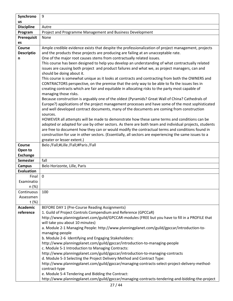| Synchrono                  | 9                                                                                                      |
|----------------------------|--------------------------------------------------------------------------------------------------------|
| <b>us</b>                  |                                                                                                        |
| <b>Discipline</b>          | Autre                                                                                                  |
| Program                    | Project and Programme Management and Business Development                                              |
| <b>Prerequisit</b>         | None                                                                                                   |
| es                         |                                                                                                        |
| Course                     | Ample credible evidence exists that despite the professionalization of project management, projects    |
| <b>Descriptio</b>          | and the products these projects are producing are failing at an unacceptable rate.                     |
| n                          | One of the major root causes stems from contractually related issues.                                  |
|                            | This course has been designed to help you develop an understanding of what contractually related       |
|                            | issues are causing both project and product failures and what we, as project managers, can and         |
|                            | should be doing about it.                                                                              |
|                            | This course is somewhat unique as it looks at contracts and contracting from both the OWNERS and       |
|                            | CONTRACTORS perspective, on the premise that the only way to be able to fix the issues lies in         |
|                            | creating contracts which are fair and equitable in allocating risks to the party most capable of       |
|                            | managing those risks.                                                                                  |
|                            | Because construction is arguably one of the oldest (Pyramids? Great Wall of China? Cathedrals of       |
|                            | Europe?) applications of the project management processes and have some of the most sophisticated      |
|                            | and well developed contract documents, many of the documents are coming from construction              |
|                            | sources.                                                                                               |
|                            | HOWEVER all attempts will be made to demonstrate how these same terms and conditions can be            |
|                            | adopted or adapted for use by other sectors. As there are both team and individual projects, students  |
|                            | are free to document how they can or would modify the contractual terms and conditions found in        |
|                            | construction for use in other sectors. (Essentially, all sectors are experiencing the same issues to a |
|                            | greater or lesser extent.)                                                                             |
| Course                     | Belo /Fall;#Lille /Fall;#Paris /Fall                                                                   |
| Open to<br><b>Exchange</b> |                                                                                                        |
| <b>Semester</b>            | fall                                                                                                   |
| <b>Campus</b>              | Belo Horizonte, Lille, Paris                                                                           |
| <b>Evaluation</b>          |                                                                                                        |
| Final                      | $\mathbf 0$                                                                                            |
| Examinatio                 |                                                                                                        |
| n (%)                      |                                                                                                        |
| Continuous                 | 100                                                                                                    |
| Assessmen                  |                                                                                                        |
| t (%)                      |                                                                                                        |
| <b>Academic</b>            | BEFORE DAY 1 (Pre-Course Reading Assignments)                                                          |
| reference                  | 1. Guild of Project Controls Compendium and Reference (GPCCaR)                                         |
|                            | http://www.planningplanet.com/guild/GPCCAR-modules (FREE but you have to fill in a PROFILE that        |
|                            | will take you about 10 minutes)                                                                        |
|                            | a. Module 2-1 Managing People: http://www.planningplanet.com/guild/gpccar/introduction-to-             |
|                            | managing-people                                                                                        |
|                            | b. Module 2-6 Identifying and Engaging Stakeholders:                                                   |
|                            | http://www.planningplanet.com/guild/gpccar/introduction-to-managing-people                             |
|                            | c. Module 5-1 Introduction to Managing Contracts:                                                      |
|                            | http://www.planningplanet.com/guild/gpccar/introduction-to-managing-contracts                          |
|                            | d. Module 5-3 Selecting the Project Delivery Method and Contract Type:                                 |
|                            | http://www.planningplanet.com/guild/gpccar/managing-contracts-select-project-delivery-method-          |
|                            | contract-type                                                                                          |
|                            | e. Module 5-4 Tendering and Bidding the Contract:                                                      |
|                            | http://www.planningplanet.com/guild/gpccar/managing-contracts-tendering-and-bidding-the-project        |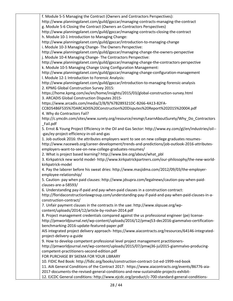f. Module 5-5 Managing the Contract (Owners and Contractors Perspectives): http://www.planningplanet.com/guild/gpccar/managing-contracts-managing-the-contract g. Module 5-6 Closing the Contract (Owners an Contractors Perspectives) http://www.planningplanet.com/guild/gpccar/managing-contracts-closing-the-contract h. Module 10-1 Introduction to Managing Change: http://www.planningplanet.com/guild/gpccar/introduction-to-managing-change i. Module 10-3 Managing Change- The Owners Perspective: http://www.planningplanet.com/guild/gpccar/managing-change-the-owners-perspective j. Module 10-4 Managing Change- The Contractors Perspective: http://www.planningplanet.com/guild/gpccar/managing-change-the-contractors-perspective k. Module 10-5 Managing Change Using Configuration Management: http://www.planningplanet.com/guild/gpccar/managing-change-configuration-management l. Module 12-1 Introduction to Forensic Analysis: http://www.planningplanet.com/guild/gpccar/introduction-to-managing-forensic-analysis 2. KPMG Global Construction Survey 2015: https://home.kpmg.com/xx/en/home/insights/2015/03/global-construction-survey.html 3. ARCADIS Global Construction Disputes 2015 https://www.arcadis.com/media/2/8/9/%7B289321DC-B266-4A13-82FA-CCBD54B6F535%7DARCADIS%20Construction%20Disputes%20Report%202015%20004.pdf 4. Why do Contractors Fail? http://c.ymcdn.com/sites/www.surety.org/resource/resmgr/LearnAboutSurety/Why\_Do\_Contractors \_Fail.pdf 5. Ernst & Young Project Efficiency in the Oil and Gas Sector: http://www.ey.com/gl/en/industries/oil-- -gas/ey-project-efficiency-in-oil-and-gas 1. Job outlook 2016: the attributes employers want to see on new college graduates resumeshttp://www.naceweb.org/career-development/trends-and-predictions/job-outlook-2016-attributesemployers-want-to-see-on-new-college-graduates-resumes/ 2. What is project based learning? http://www.bie.org/about/what\_pbl 3. Kirkpatrick new world model- http://www.kirkpatrickpartners.com/our-philosophy/the-new-worldkirkpatrick-model 4. Pay the laborer before his sweat dries: http://www.masjidma.com/2012/09/03/the-employeremployee-relationship/ 5. Caution- pay when paid clauses: http://www.jdsupra.com/legalnews/caution-pay-when-paidclauses-are-a-58593/ 6. Understanding pay-if-paid and pay-when-paid clauses in a construction contract: http://floridaconstructionlawgroup.com/understanding-pay-if-paid-and-pay-when-paid-clauses-in-aconstruction-contract/ 7. Unfair payment clauses in the contracts in the uae: http://www.slqsuae.org/wpcontent/uploads/2014/12/article-by-roshan-2014.pdf 8. Project management credentials compared against the us professional engineer (pe) licensehttp://pmworldjournal.net/wp-content/uploads/2016/12/pmwj53-dec2016-giammalvo-certificationbenchmarking-2016-update-featured-paper.pdf AIS integrated project delivery approach- https://www.aiacontracts.org/resources/64146-integratedproject-delivery-a-guide 9. How to develop competent professional level project management practitionershttp://pmworldjournal.net/wp-content/uploads/2015/07/pmwj36-jul2015-giammalvo-producingcompetent-practitioners-second-edition.pdf

FOR PURCHASE BY SKEMA FOR YOUR LIBRARY

10. FIDIC Red Book: http://fidic.org/books/construction-contract-1st-ed-1999-red-book

11. AIA General Conditions of the Contract 2017: https://www.aiacontracts.org/events/86776-aia-

2017-documents-the-revised-general-conditions-and-new-sustainable-projects-exhibit-

12. EJCDC General conditions: http://www.ejcdc.org/product/c-700-standard-general-conditions-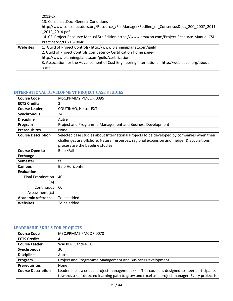|                 | $2013 - 2/$                                                                                       |
|-----------------|---------------------------------------------------------------------------------------------------|
|                 | 13. ConsensusDocs General Conditions                                                              |
|                 | http://www.consensusdocs.org/Resource /FileManager/Redline of ConsensusDocs 200 2007 2011         |
|                 | 2012 2014.pdf                                                                                     |
|                 | 14. CSI Project Resource Manual 5th Edition https://www.amazon.com/Project-Resource-Manual-CSI-   |
|                 | Practice/dp/0071370048                                                                            |
| <b>Websites</b> | 1. Guild of Project Controls- http://www.planningplanet.com/guild                                 |
|                 | 2. Guild of Project Controls Competency Certification Home page-                                  |
|                 | http://www.planningplanet.com/guild/certification                                                 |
|                 | 3. Association for the Advancement of Cost Engineering International- http://web.aacei.org/about- |
|                 | aace                                                                                              |

# <span id="page-28-0"></span>**INTERNATIONAL DEVELOPMENT PROJECT CASE STUDIES**

| <b>Course Code</b>        | MSC.PPMM2.PMCOR.0095                                                                       |
|---------------------------|--------------------------------------------------------------------------------------------|
| <b>ECTS Credits</b>       | 3                                                                                          |
| <b>Course Leader</b>      | COUTINHO, Heitor-EXT                                                                       |
| Synchronous               | 24                                                                                         |
| <b>Discipline</b>         | Autre                                                                                      |
| Program                   | Project and Programme Management and Business Development                                  |
| <b>Prerequisites</b>      | None                                                                                       |
| <b>Course Description</b> | Selected case studies about International Projects to be developed by companies when their |
|                           | challenges are offshore. Natural resources, regional expansion and merger & acquisitions   |
|                           | process are the baseline studies.                                                          |
| <b>Course Open to</b>     | Belo /Fall                                                                                 |
| <b>Exchange</b>           |                                                                                            |
| <b>Semester</b>           | fall                                                                                       |
| <b>Campus</b>             | <b>Belo Horizonte</b>                                                                      |
| <b>Evaluation</b>         |                                                                                            |
| <b>Final Examination</b>  | 40                                                                                         |
| (%)                       |                                                                                            |
| Continuous                | 60                                                                                         |
| Assessment (%)            |                                                                                            |
| <b>Academic reference</b> | To be added                                                                                |
| <b>Websites</b>           | To be added                                                                                |

#### <span id="page-28-1"></span>**LEADERSHIP SKILLS FOR PROJECTS**

| <b>Course Code</b>        | MSC.PPMM2.PMCOR.0078                                                                             |
|---------------------------|--------------------------------------------------------------------------------------------------|
| <b>ECTS Credits</b>       |                                                                                                  |
| <b>Course Leader</b>      | WALKER, Sandra-EXT                                                                               |
| Synchronous               | 30                                                                                               |
| <b>Discipline</b>         | Autre                                                                                            |
| Program                   | Project and Programme Management and Business Development                                        |
| <b>Prerequisites</b>      | None                                                                                             |
| <b>Course Description</b> | Leadership is a critical project management skill. This course is designed to steer participants |
|                           | towards a self-directed learning path to grow and excel as a project manager. Every project is   |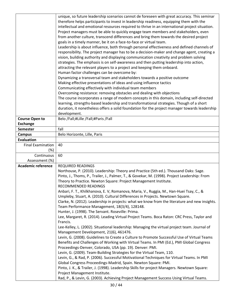|                           | unique, so future leadership scenarios cannot de foreseen with great accuracy. This seminar                                                                 |
|---------------------------|-------------------------------------------------------------------------------------------------------------------------------------------------------------|
|                           | therefore helps participants to invest in leadership readiness, equipping them with the                                                                     |
|                           | intellectual and emotional resources required to thrive in an international project situation.                                                              |
|                           | Project managers must be able to quickly engage team members and stakeholders, even                                                                         |
|                           | from another culture, transcend differences and bring them towards the desired project                                                                      |
|                           | goals in a timely manner, be it on a face-to-face or virtual team.                                                                                          |
|                           | Leadership is about influence, both through personal effectiveness and defined channels of                                                                  |
|                           | responsibility. The project manager has to be a decision-maker and change agent, creating a                                                                 |
|                           | vision, building authority and displaying communication creativity and problem solving                                                                      |
|                           | strategies. The emphasis is on self-awareness and then putting leadership into action,                                                                      |
|                           | attracting the relevant players to a project and keeping them onboard.                                                                                      |
|                           | Human factor challenges can be overcome by:                                                                                                                 |
|                           | Dynamizing a transversal team and stakeholders towards a positive outcome                                                                                   |
|                           | Making effective presentations of ideas and using influence tactics                                                                                         |
|                           | Communicating effectively with individual team members                                                                                                      |
|                           | Overcoming resistance: removing obstacles and dealing with objections                                                                                       |
|                           | The course incorporates a range of modern concepts in this domain, including self-directed                                                                  |
|                           | learning, strengths-based leadership and transformational strategies. Though of a short                                                                     |
|                           | duration, it nonetheless offers a solid foundation for the project manager towards leadership                                                               |
|                           | development.                                                                                                                                                |
| <b>Course Open to</b>     | Belo /Fall;#Lille /Fall;#Paris /Fall                                                                                                                        |
| <b>Exchange</b>           |                                                                                                                                                             |
| <b>Semester</b>           | fall                                                                                                                                                        |
| <b>Campus</b>             | Belo Horizonte, Lille, Paris                                                                                                                                |
| <b>Evaluation</b>         |                                                                                                                                                             |
| <b>Final Examination</b>  | 40                                                                                                                                                          |
| (%)                       |                                                                                                                                                             |
| Continuous                | 60                                                                                                                                                          |
| Assessment (%)            |                                                                                                                                                             |
| <b>Academic reference</b> | <b>REQUIRED READINGS</b>                                                                                                                                    |
|                           | Northouse, P. (2010). Leadership: Theory and Practice (5th ed.). Thousand Oaks: Sage.                                                                       |
|                           | Pinto, J., Thoms, P., Trailer, J., Palmer, T., & Govekar, M. (1998). Project Leadership: From                                                               |
|                           | Theory to Practice. Newton Square: Project Management Institute.                                                                                            |
|                           | RECOMMENDED READINGS                                                                                                                                        |
|                           | Anbari, F. T., Khilkhanova, E. V, Romanova, Maria, V., Ruggia, M., Han-Huei Tsay, C., &                                                                     |
|                           | Umpleby, Stuart, A. (2010). Cultural Differences in Projects. Newtown Square.                                                                               |
|                           | Clarke, N. (2012). Leadership in projects: what we know from the literature and new insights.                                                               |
|                           | Team Performance Management, 18(3/4), 128148.                                                                                                               |
|                           | Hunter, J. (1998). The Servant. Roseville: Prima.                                                                                                           |
|                           | Lee, Margaret, R. (2014). Leading Virtual Project Teams. Boca Raton: CRC Press, Taylor and                                                                  |
|                           | Francis.                                                                                                                                                    |
|                           | Lee-Kelley, L. (2002). Situational leadership: Managing the virtual project team. Journal of                                                                |
|                           | Management Development, 21(6), 461476.                                                                                                                      |
|                           | Levin, G. (2008). Guidelines to Create a Culture to Promote Successful Use of Virtual Teams                                                                 |
|                           | Benefits and Challenges of Working with Virtual Teams. In PMI (Ed.), PMI Global Congress                                                                    |
|                           | Proceedings-Denver, Colorado, USA (pp. 19). Denver: PMI.                                                                                                    |
|                           | Levin, G. (2009). Team-Building Strategies for the Virtual Team, 110.                                                                                       |
|                           | Levin, G., & Rad, P. (2006). Successful Motivational Techniques for Virtual Teams. In PMI<br>Global Congress Proceedings-Madrid, Spain. Newton Square: PMI. |
|                           | Pinto, J. K., & Trailer, J. (1998). Leadership Skills for project Managers. Newtown Square:                                                                 |
|                           | Project Management Institute.                                                                                                                               |
|                           | Rad, P., & Levin, G. (2003). Achieving Project Management Success Using Virtual Teams.                                                                      |
|                           |                                                                                                                                                             |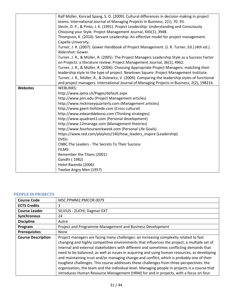|                 | Ralf Müller, Konrad Spang, S. O. (2009). Cultural differences in decision making in project                     |
|-----------------|-----------------------------------------------------------------------------------------------------------------|
|                 | teams. International Journal of Managing Projects in Business, 2(1), 70 93.                                     |
|                 | Slevin, D. P., & Pinto, J. K. (1991). Project Leadership: Understanding and Consciously                         |
|                 | Choosing your Style. Project Management Journal, XXII(1), 3948.                                                 |
|                 | Thompson, K. (2010). Servant-Leadership: An effective model for project management.                             |
|                 | Capella University.                                                                                             |
|                 | Turner, J. R. (2007). Gower Handbook of Project Management. (J. R. Turner, Ed.) (4th ed.).<br>Aldershot: Gower. |
|                 | Turner, J. R., & Müller, R. (2005). The Project Managers Leadership Style as a Success Factor                   |
|                 | on Projects: a literature review. Project Management Journal, 36(1), 4962.                                      |
|                 | Turner, J. R., & Müller, R. (2006). Choosing Appropriate Project Managers: matching their                       |
|                 | leadership style to the type of project. Newtown Square: Project Management Institute.                          |
|                 | Turner, J. R., Müller, R., & Dulewicz, V. (2009). Comparing the leadership styles of functional                 |
|                 | and project managers. International Journal of Managing Projects in Business, 2(2), 198216.                     |
| <b>Websites</b> | <b>WEBLINKS:</b>                                                                                                |
|                 | http://www.ipma.ch/Pages/default.aspx                                                                           |
|                 | http://www.pmi.edu (Project Management articles)                                                                |
|                 | http://www.mckinseyquarterly.com (Management articles)                                                          |
|                 | http://www.geert-hofstede.com (Cross cultural)                                                                  |
|                 | http://www.edwarddebono.com (Thinking strategies)                                                               |
|                 | http://www.quadrant1.com (Personal development)                                                                 |
|                 | http://www.12manage.com (Management theories)                                                                   |
|                 | http://www.fourhourworkweek.com (Personal Life Goals)                                                           |
|                 | https://www.ted.com/playlists/140/how_leaders_inspire (Leadership)                                              |
|                 | DVDs:                                                                                                           |
|                 | <b>CNBC The Leaders - The Secrets To Their Success</b>                                                          |
|                 | FILMS:                                                                                                          |
|                 | Remember the Titans (2001)                                                                                      |
|                 | Gandhi (1982)                                                                                                   |
|                 | Hotel Rwanda (2006)                                                                                             |
|                 | Twelve Angry Men (1957)                                                                                         |

## <span id="page-30-0"></span>**PEOPLE IN PROJECTS**

| <b>Course Code</b>        | MSC.PPMM2.PMCOR.0079                                                                                                                                                                                                                                                                                                                                                                                                                                                                                                                                                                                                                                                                                                                                               |
|---------------------------|--------------------------------------------------------------------------------------------------------------------------------------------------------------------------------------------------------------------------------------------------------------------------------------------------------------------------------------------------------------------------------------------------------------------------------------------------------------------------------------------------------------------------------------------------------------------------------------------------------------------------------------------------------------------------------------------------------------------------------------------------------------------|
| <b>ECTS Credits</b>       | 3                                                                                                                                                                                                                                                                                                                                                                                                                                                                                                                                                                                                                                                                                                                                                                  |
| <b>Course Leader</b>      | SILVIUS - ZUCHI, Dagmar-EXT                                                                                                                                                                                                                                                                                                                                                                                                                                                                                                                                                                                                                                                                                                                                        |
| <b>Synchronous</b>        | 24                                                                                                                                                                                                                                                                                                                                                                                                                                                                                                                                                                                                                                                                                                                                                                 |
| <b>Discipline</b>         | Autre                                                                                                                                                                                                                                                                                                                                                                                                                                                                                                                                                                                                                                                                                                                                                              |
| Program                   | Project and Programme Management and Business Development                                                                                                                                                                                                                                                                                                                                                                                                                                                                                                                                                                                                                                                                                                          |
| <b>Prerequisites</b>      | None                                                                                                                                                                                                                                                                                                                                                                                                                                                                                                                                                                                                                                                                                                                                                               |
| <b>Course Description</b> | Project managers are facing many challenges: an increasing complexity related to fast<br>changing and highly competitive environments that influences the project; a multiple set of<br>internal and external stakeholders with different and sometimes conflicting demands that<br>need to be balanced; as well as issues in acquiring and using human resources, as developing<br>and maintaining trust and/or managing change and conflict, which is probably one of their<br>toughest challenges. This course addresses these challenges from three perspectives: the<br>organization, the team and the individual level. Managing people in projects is a course that<br>introduces Human Resource Management (HRM) for and in projects, with a focus on four |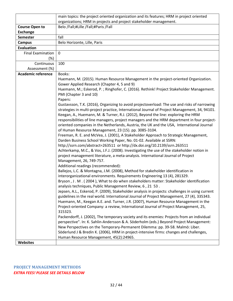|                           | main topics: the project oriented organization and its features; HRM in project oriented                                                                                                                                                                                                                                                                                                                                                                                                                                                                                                                                                                                                                                                                                                                                                                                                                                                                                                                                                                                                                                                                                                                                                                                                                     |
|---------------------------|--------------------------------------------------------------------------------------------------------------------------------------------------------------------------------------------------------------------------------------------------------------------------------------------------------------------------------------------------------------------------------------------------------------------------------------------------------------------------------------------------------------------------------------------------------------------------------------------------------------------------------------------------------------------------------------------------------------------------------------------------------------------------------------------------------------------------------------------------------------------------------------------------------------------------------------------------------------------------------------------------------------------------------------------------------------------------------------------------------------------------------------------------------------------------------------------------------------------------------------------------------------------------------------------------------------|
|                           | organizations; HRM in projects and project stakeholder management.                                                                                                                                                                                                                                                                                                                                                                                                                                                                                                                                                                                                                                                                                                                                                                                                                                                                                                                                                                                                                                                                                                                                                                                                                                           |
| <b>Course Open to</b>     | Belo /Fall;#Lille /Fall;#Paris /Fall                                                                                                                                                                                                                                                                                                                                                                                                                                                                                                                                                                                                                                                                                                                                                                                                                                                                                                                                                                                                                                                                                                                                                                                                                                                                         |
| <b>Exchange</b>           |                                                                                                                                                                                                                                                                                                                                                                                                                                                                                                                                                                                                                                                                                                                                                                                                                                                                                                                                                                                                                                                                                                                                                                                                                                                                                                              |
| <b>Semester</b>           | fall                                                                                                                                                                                                                                                                                                                                                                                                                                                                                                                                                                                                                                                                                                                                                                                                                                                                                                                                                                                                                                                                                                                                                                                                                                                                                                         |
| <b>Campus</b>             | Belo Horizonte, Lille, Paris                                                                                                                                                                                                                                                                                                                                                                                                                                                                                                                                                                                                                                                                                                                                                                                                                                                                                                                                                                                                                                                                                                                                                                                                                                                                                 |
| <b>Evaluation</b>         |                                                                                                                                                                                                                                                                                                                                                                                                                                                                                                                                                                                                                                                                                                                                                                                                                                                                                                                                                                                                                                                                                                                                                                                                                                                                                                              |
| <b>Final Examination</b>  | 0                                                                                                                                                                                                                                                                                                                                                                                                                                                                                                                                                                                                                                                                                                                                                                                                                                                                                                                                                                                                                                                                                                                                                                                                                                                                                                            |
| (%)                       |                                                                                                                                                                                                                                                                                                                                                                                                                                                                                                                                                                                                                                                                                                                                                                                                                                                                                                                                                                                                                                                                                                                                                                                                                                                                                                              |
| Continuous                | 100                                                                                                                                                                                                                                                                                                                                                                                                                                                                                                                                                                                                                                                                                                                                                                                                                                                                                                                                                                                                                                                                                                                                                                                                                                                                                                          |
| Assessment (%)            |                                                                                                                                                                                                                                                                                                                                                                                                                                                                                                                                                                                                                                                                                                                                                                                                                                                                                                                                                                                                                                                                                                                                                                                                                                                                                                              |
| <b>Academic reference</b> | Books:                                                                                                                                                                                                                                                                                                                                                                                                                                                                                                                                                                                                                                                                                                                                                                                                                                                                                                                                                                                                                                                                                                                                                                                                                                                                                                       |
|                           | Huemann, M. (2015). Human Resource Management in the project-oriented Organization.<br>Gower Applied Research (Chapter 4, 5 and 9)                                                                                                                                                                                                                                                                                                                                                                                                                                                                                                                                                                                                                                                                                                                                                                                                                                                                                                                                                                                                                                                                                                                                                                           |
|                           | Huemann, M.; Eskerod, P.; Ringhofer, C. (2016). Rethink! Project Stakeholder Management.<br>PMI (Chapter 3 and 10)                                                                                                                                                                                                                                                                                                                                                                                                                                                                                                                                                                                                                                                                                                                                                                                                                                                                                                                                                                                                                                                                                                                                                                                           |
|                           | Papers:<br>Gustavsson, T.K. (2016), Organizing to avoid projectoverload: The use and risks of narrowing<br>strategies in multi-project practice, International Journal of Project Management, 34, 94101.<br>Keegan, A., Huemann, M. & Turner, R.J. (2012), Beyond the line: exploring the HRM<br>responsibilities of line managers, project managers and the HRM department in four project-<br>oriented companies in the Netherlands, Austria, the UK and the USA, International Journal<br>of Human Resource Management, 23 (15). pp. 3085-3104.<br>Freeman, R. E. and McVea, J. (2001), A Stakeholder Approach to Strategic Management,<br>Darden Business School Working Paper, No. 01-02. Available at SSRN:<br>http://ssrn.com/abstract=263511_or http://dx.doi.org/10.2139/ssrn.263511<br>Achterkamp, M.C., & Vos, J.F.J. (2008). Investigating the use of the stakeholder notion in<br>project management literature, a meta-analysis. International Journal of Project<br>Management, 26, 749-757.<br>Additional readings (recommended):<br>Ballejos, L.C. & Montagna, J.M. (2008), Method for stakeholder identification in<br>interorganizational environments. Requirements Engineering 13 (4), 281329.<br>Bryson, J. M. (2004), What to do when stakeholders matter: Stakeholder identification |
|                           | analysis techniques, Public Management Review, 6, 21 53.<br>Jepsen, A.L., Eskerod, P. (2009), Stakeholder analysis in projects: challenges in using current<br>guidelines in the real world. International Journal of Project Management, 27 (4), 335343.<br>Huemann, M., Keegan A.E. and. Turner, J.R. (2007), Human Resource Management in the<br>Project-oriented Company: a review, International Journal of Project Management, 25,<br>315323.<br>Packendorff, J. (2002), The temporary society and its enemies: Projects from an individual<br>perspective". In: K. Sahlin-Andersson & A. Söderholm (eds.) Beyond Project Management:<br>New Perspectives on the Temporary-Permanent Dilemma: pp. 39-58. Malmö: Liber.<br>Söderlund J & Bredin K. (2006), HRM in project-intensive firms: changes and challenges,                                                                                                                                                                                                                                                                                                                                                                                                                                                                                      |
| <b>Websites</b>           | Human Resource Management, 45(2):24965.                                                                                                                                                                                                                                                                                                                                                                                                                                                                                                                                                                                                                                                                                                                                                                                                                                                                                                                                                                                                                                                                                                                                                                                                                                                                      |
|                           |                                                                                                                                                                                                                                                                                                                                                                                                                                                                                                                                                                                                                                                                                                                                                                                                                                                                                                                                                                                                                                                                                                                                                                                                                                                                                                              |

<span id="page-31-0"></span>**PROJECT MANAGEMENT METHODS** *EXTRA FEES! PLEASE SEE DETAILS BELOW*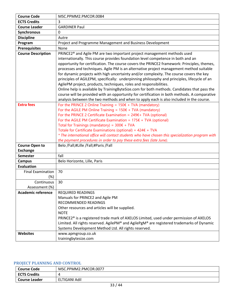| <b>Course Code</b>        | MSC.PPMM2.PMCOR.0084                                                                                                                                                                                                                                                                                                                                                                                                                                                                                                                                                                                                                                                                                                                                                                                                              |
|---------------------------|-----------------------------------------------------------------------------------------------------------------------------------------------------------------------------------------------------------------------------------------------------------------------------------------------------------------------------------------------------------------------------------------------------------------------------------------------------------------------------------------------------------------------------------------------------------------------------------------------------------------------------------------------------------------------------------------------------------------------------------------------------------------------------------------------------------------------------------|
| <b>ECTS Credits</b>       | 3                                                                                                                                                                                                                                                                                                                                                                                                                                                                                                                                                                                                                                                                                                                                                                                                                                 |
| <b>Course Leader</b>      | <b>GARDINER Paul</b>                                                                                                                                                                                                                                                                                                                                                                                                                                                                                                                                                                                                                                                                                                                                                                                                              |
| Synchronous               | 0                                                                                                                                                                                                                                                                                                                                                                                                                                                                                                                                                                                                                                                                                                                                                                                                                                 |
| <b>Discipline</b>         | Autre                                                                                                                                                                                                                                                                                                                                                                                                                                                                                                                                                                                                                                                                                                                                                                                                                             |
| Program                   | Project and Programme Management and Business Development                                                                                                                                                                                                                                                                                                                                                                                                                                                                                                                                                                                                                                                                                                                                                                         |
| <b>Prerequisites</b>      | None                                                                                                                                                                                                                                                                                                                                                                                                                                                                                                                                                                                                                                                                                                                                                                                                                              |
| <b>Course Description</b> | PRINCE2 <sup>®</sup> and Agile PM are two important project management methods used<br>internationally. This course provides foundation level competence in both and an<br>opportunity for certification. The course covers the PRINCE2 framework: Principles, themes,<br>processes and techniques. Agile PM is an alternative project management method suitable<br>for dynamic projects with high uncertainty and/or complexity. The course covers the key<br>principles of AGILEPM, specifically: underpinning philosophy and principles, lifecycle of an<br>AgilePM project, products, techniques, roles and responsibilities.<br>Online help is available by TrainingByteSize.com for both methods. Candidates that pass the<br>course will be provided with an opportunity for certification in both methods. A comparative |
|                           | analysis between the two methods and when to apply each is also included in the course.                                                                                                                                                                                                                                                                                                                                                                                                                                                                                                                                                                                                                                                                                                                                           |
| <b>Extra fees</b>         | For the PRINCE 2 Online Training = $150 \epsilon + TVA$ (mandatory)<br>For the AGILE PM Online Training = $150 \epsilon + TVA$ (mandatory)<br>For the PRINCE 2 Certificate Examination = $249f + TVA$ (optional)<br>For the AGILE PM Certificate Examination = $175\epsilon$ + TVA (optional)<br>Total for Trainings (mandatory) = $300 \epsilon + TVA$<br>Totale for Certificate Examinations (optional) = $424E + TVA$<br>* The international office will contact students who have chosen this specialization program with<br>the payment procedures in order to pay these extra fees (late June).                                                                                                                                                                                                                             |
| <b>Course Open to</b>     | Belo /Fall;#Lille /Fall;#Paris /Fall                                                                                                                                                                                                                                                                                                                                                                                                                                                                                                                                                                                                                                                                                                                                                                                              |
| <b>Exchange</b>           |                                                                                                                                                                                                                                                                                                                                                                                                                                                                                                                                                                                                                                                                                                                                                                                                                                   |
| <b>Semester</b>           | fall                                                                                                                                                                                                                                                                                                                                                                                                                                                                                                                                                                                                                                                                                                                                                                                                                              |
| <b>Campus</b>             | Belo Horizonte, Lille, Paris                                                                                                                                                                                                                                                                                                                                                                                                                                                                                                                                                                                                                                                                                                                                                                                                      |
| <b>Evaluation</b>         |                                                                                                                                                                                                                                                                                                                                                                                                                                                                                                                                                                                                                                                                                                                                                                                                                                   |
| <b>Final Examination</b>  | 70                                                                                                                                                                                                                                                                                                                                                                                                                                                                                                                                                                                                                                                                                                                                                                                                                                |
| $(\%)$                    |                                                                                                                                                                                                                                                                                                                                                                                                                                                                                                                                                                                                                                                                                                                                                                                                                                   |
| Continuous                | 30                                                                                                                                                                                                                                                                                                                                                                                                                                                                                                                                                                                                                                                                                                                                                                                                                                |
| Assessment (%)            |                                                                                                                                                                                                                                                                                                                                                                                                                                                                                                                                                                                                                                                                                                                                                                                                                                   |
| <b>Academic reference</b> | <b>REQUIRED READINGS</b><br>Manuals for PRINCE2 and Agile PM<br>RECOMMENDED READINGS<br>Other resources and articles will be supplied.<br><b>NOTE</b><br>PRINCE2 <sup>®</sup> is a registered trade mark of AXELOS Limited, used under permission of AXELOS<br>Limited. All rights reserved. AgilePM® and AgilePgM® are registered trademarks of Dynamic                                                                                                                                                                                                                                                                                                                                                                                                                                                                          |
| <b>Websites</b>           | Systems Development Method Ltd. All rights reserved.                                                                                                                                                                                                                                                                                                                                                                                                                                                                                                                                                                                                                                                                                                                                                                              |

# <span id="page-32-0"></span>**PROJECT PLANNING AND CONTROL**

| Course Code         | MSC.PPMM2.PMCOR.0077 |
|---------------------|----------------------|
| <b>ECTS Credits</b> |                      |
| l Course Leader     | ELTIGANI Adil        |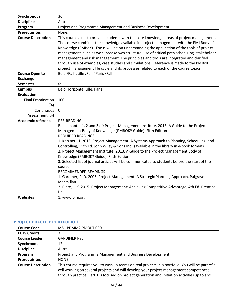| Synchronous                                 | 36                                                                                                                                                                                                                                                                                                                                                                                                                                                                                                                                                                                                                                                                                                                                                                                                                                                             |
|---------------------------------------------|----------------------------------------------------------------------------------------------------------------------------------------------------------------------------------------------------------------------------------------------------------------------------------------------------------------------------------------------------------------------------------------------------------------------------------------------------------------------------------------------------------------------------------------------------------------------------------------------------------------------------------------------------------------------------------------------------------------------------------------------------------------------------------------------------------------------------------------------------------------|
| <b>Discipline</b>                           | Autre                                                                                                                                                                                                                                                                                                                                                                                                                                                                                                                                                                                                                                                                                                                                                                                                                                                          |
| Program                                     | Project and Programme Management and Business Development                                                                                                                                                                                                                                                                                                                                                                                                                                                                                                                                                                                                                                                                                                                                                                                                      |
| <b>Prerequisites</b>                        | None.                                                                                                                                                                                                                                                                                                                                                                                                                                                                                                                                                                                                                                                                                                                                                                                                                                                          |
| <b>Course Description</b>                   | This course aims to provide students with the core knowledge areas of project management.<br>The course combines the knowledge available in project management with the PMI Body of<br>Knowledge (PMBoK). Focus will be on understanding the application of the tools of project<br>management, such as work breakdown structure, use of critical path scheduling, stakeholder<br>management and risk management. The principles and tools are integrated and clarified<br>through use of examples, case studies and simulations. Reference is made to the PMBoK<br>project management life cycle and its processes related to each of the course topics.                                                                                                                                                                                                      |
| <b>Course Open to</b>                       | Belo /Fall;#Lille /Fall;#Paris /Fall                                                                                                                                                                                                                                                                                                                                                                                                                                                                                                                                                                                                                                                                                                                                                                                                                           |
| <b>Exchange</b>                             |                                                                                                                                                                                                                                                                                                                                                                                                                                                                                                                                                                                                                                                                                                                                                                                                                                                                |
| <b>Semester</b>                             | fall                                                                                                                                                                                                                                                                                                                                                                                                                                                                                                                                                                                                                                                                                                                                                                                                                                                           |
| <b>Campus</b>                               | Belo Horizonte, Lille, Paris                                                                                                                                                                                                                                                                                                                                                                                                                                                                                                                                                                                                                                                                                                                                                                                                                                   |
| <b>Evaluation</b>                           |                                                                                                                                                                                                                                                                                                                                                                                                                                                                                                                                                                                                                                                                                                                                                                                                                                                                |
| <b>Final Examination</b>                    | 100                                                                                                                                                                                                                                                                                                                                                                                                                                                                                                                                                                                                                                                                                                                                                                                                                                                            |
| (%)                                         |                                                                                                                                                                                                                                                                                                                                                                                                                                                                                                                                                                                                                                                                                                                                                                                                                                                                |
| Continuous                                  | 0                                                                                                                                                                                                                                                                                                                                                                                                                                                                                                                                                                                                                                                                                                                                                                                                                                                              |
| Assessment (%)<br><b>Academic reference</b> | PRE-READING                                                                                                                                                                                                                                                                                                                                                                                                                                                                                                                                                                                                                                                                                                                                                                                                                                                    |
|                                             | Read chapter 1, 2 and 3 of: Project Management Institute. 2013. A Guide to the Project<br>Management Body of Knowledge (PMBOK® Guide) Fifth Edition<br><b>REQUIRED READINGS</b><br>1. Kerzner, H. 2013. Project Management: A Systems Approach to Planning, Scheduling, and<br>Controlling, 11th Ed. John Wiley & Sons Inc. (available in the library in e-book format)<br>2. Project Management Institute. 2013. A Guide to the Project Management Body of<br>Knowledge (PMBOK® Guide) Fifth Edition<br>3. Selected list of journal articles will be communicated to students before the start of the<br>course.<br><b>RECOMMENDED READINGS</b><br>1. Gardiner, P. D. 2005. Project Management: A Strategic Planning Approach, Palgrave<br>Macmillan.<br>2. Pinto, J. K. 2015. Project Management: Achieving Competitive Advantage, 4th Ed. Prentice<br>Hall. |
| <b>Websites</b>                             | 1. www.pmi.org                                                                                                                                                                                                                                                                                                                                                                                                                                                                                                                                                                                                                                                                                                                                                                                                                                                 |

# <span id="page-33-0"></span>**PROJECT PRACTICE PORTFOLIO 1**

| <b>Course Code</b>        | MSC.PPMM2.PMOPT.0001                                                                             |
|---------------------------|--------------------------------------------------------------------------------------------------|
| <b>ECTS Credits</b>       | 3                                                                                                |
| <b>Course Leader</b>      | <b>GARDINER Paul</b>                                                                             |
| Synchronous               | 12                                                                                               |
| <b>Discipline</b>         | Autre                                                                                            |
| Program                   | Project and Programme Management and Business Development                                        |
| <b>Prerequisites</b>      | <b>NONE</b>                                                                                      |
| <b>Course Description</b> | This course requires you to work in teams on real projects in a portfolio. You will be part of a |
|                           | cell working on several projects and will develop your project management competences            |
|                           | through practice. Part 1 is focused on project generation and initiation activities up to and    |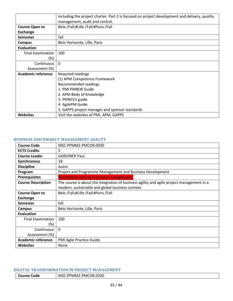|                          | including the project charter. Part 2 is focused on project development and delivery, quality |
|--------------------------|-----------------------------------------------------------------------------------------------|
|                          | management, audit and control.                                                                |
| <b>Course Open to</b>    | Belo /Fall;#Lille /Fall;#Paris /Fall                                                          |
| <b>Exchange</b>          |                                                                                               |
| <b>Semester</b>          | fall                                                                                          |
| Campus                   | Belo Horizonte, Lille, Paris                                                                  |
| Evaluation               |                                                                                               |
| <b>Final Examination</b> | 100                                                                                           |
| (%)                      |                                                                                               |
| Continuous               | $\Omega$                                                                                      |
| Assessment (%)           |                                                                                               |
| Academic reference       | Required readings                                                                             |
|                          | (1) APM Competence Framework                                                                  |
|                          | Recommended readings                                                                          |
|                          | 1. PMI PMBOK Guide                                                                            |
|                          | 2. APM Body of Knowledge                                                                      |
|                          | 3. PRINCE2 guide                                                                              |
|                          | 4. AgilePM Guide                                                                              |
|                          | 5. GAPPS project manager and sponsor standards                                                |
| <b>Websites</b>          | Visit the websites of PMI, APM, GAPPS                                                         |

#### <span id="page-34-0"></span>**BUSINESS AND PROJECT MANAGEMENT AGILITY**

| <b>Course Code</b>        | MSC.PPMM2.PMCOR.0030                                                                      |
|---------------------------|-------------------------------------------------------------------------------------------|
| <b>ECTS Credits</b>       | 3                                                                                         |
| <b>Course Leader</b>      | <b>GARDINER Paul</b>                                                                      |
| Synchronous               | 18                                                                                        |
| <b>Discipline</b>         | Autre                                                                                     |
| Program                   | Project and Programme Management and Business Development                                 |
| <b>Prerequisites</b>      | Foundation level agile project management.                                                |
| <b>Course Description</b> | The course is about the integration of business agility and agile project management in a |
|                           | modern, sustainable and global business context.                                          |
| <b>Course Open to</b>     | Belo /Fall;#Lille /Fall;#Paris /Fall                                                      |
| <b>Exchange</b>           |                                                                                           |
| <b>Semester</b>           | fall                                                                                      |
| Campus                    | Belo Horizonte, Lille, Paris                                                              |
| <b>Evaluation</b>         |                                                                                           |
| <b>Final Examination</b>  | 100                                                                                       |
| $(\%)$                    |                                                                                           |
| Continuous                | $\mathbf{0}$                                                                              |
| Assessment (%)            |                                                                                           |
| <b>Academic reference</b> | PMI Agile Practice Guide.                                                                 |
| <b>Websites</b>           | None.                                                                                     |

## <span id="page-34-1"></span>**DIGITAL TRANSFORMATION IN PROJECT MANAGEMENT**

**Course Code** MSC.PPMM2.PMCOR.0200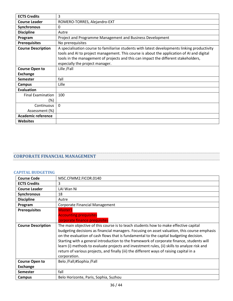| <b>ECTS Credits</b>       | 3                                                                                                                                                                                                                                                                                                                     |
|---------------------------|-----------------------------------------------------------------------------------------------------------------------------------------------------------------------------------------------------------------------------------------------------------------------------------------------------------------------|
| <b>Course Leader</b>      | ROMERO-TORRES, Alejandro-EXT                                                                                                                                                                                                                                                                                          |
| <b>Synchronous</b>        | 0                                                                                                                                                                                                                                                                                                                     |
| <b>Discipline</b>         | Autre                                                                                                                                                                                                                                                                                                                 |
| Program                   | Project and Programme Management and Business Development                                                                                                                                                                                                                                                             |
| <b>Prerequisites</b>      | No prerequisites                                                                                                                                                                                                                                                                                                      |
| <b>Course Description</b> | A specialisation course to familiarise students with latest developments linking productivity<br>tools and AI to project management. This course is about the application of AI and digital<br>tools in the management of projects and this can impact the different stakeholders,<br>especially the project manager. |
| <b>Course Open to</b>     | Lille /Fall                                                                                                                                                                                                                                                                                                           |
| <b>Exchange</b>           |                                                                                                                                                                                                                                                                                                                       |
| Semester                  | fall                                                                                                                                                                                                                                                                                                                  |
| Campus                    | Lille                                                                                                                                                                                                                                                                                                                 |
| Evaluation                |                                                                                                                                                                                                                                                                                                                       |
| <b>Final Examination</b>  | 100                                                                                                                                                                                                                                                                                                                   |
| (%)                       |                                                                                                                                                                                                                                                                                                                       |
| Continuous                | $\Omega$                                                                                                                                                                                                                                                                                                              |
| Assessment (%)            |                                                                                                                                                                                                                                                                                                                       |
| <b>Academic reference</b> |                                                                                                                                                                                                                                                                                                                       |
| <b>Websites</b>           |                                                                                                                                                                                                                                                                                                                       |

# <span id="page-35-0"></span>**CORPORATE FINANCIAL MANAGEMENT**

## <span id="page-35-1"></span>**CAPITAL BUDGETING**

| <b>Course Code</b>        | MSC.CFMM2.FICOR.0140                                                                                                                                                                                                                                                                                                                                                                                                                                                                                                                                                                    |
|---------------------------|-----------------------------------------------------------------------------------------------------------------------------------------------------------------------------------------------------------------------------------------------------------------------------------------------------------------------------------------------------------------------------------------------------------------------------------------------------------------------------------------------------------------------------------------------------------------------------------------|
| <b>ECTS Credits</b>       | 3                                                                                                                                                                                                                                                                                                                                                                                                                                                                                                                                                                                       |
| <b>Course Leader</b>      | LAI Wan Ni                                                                                                                                                                                                                                                                                                                                                                                                                                                                                                                                                                              |
| Synchronous               | 18                                                                                                                                                                                                                                                                                                                                                                                                                                                                                                                                                                                      |
| <b>Discipline</b>         | Autre                                                                                                                                                                                                                                                                                                                                                                                                                                                                                                                                                                                   |
| Program                   | <b>Corporate Financial Management</b>                                                                                                                                                                                                                                                                                                                                                                                                                                                                                                                                                   |
| <b>Prerequisites</b>      | Master1                                                                                                                                                                                                                                                                                                                                                                                                                                                                                                                                                                                 |
|                           | <b>Accounting prequisites</b><br>corporate finance prequisites                                                                                                                                                                                                                                                                                                                                                                                                                                                                                                                          |
| <b>Course Description</b> | The main objective of this course is to teach students how to make effective capital<br>budgeting decisions as financial managers. Focusing on asset valuation, this course emphasis<br>on the evaluation of cash flows that is fundamental to the capital budgeting decision.<br>Starting with a general introduction to the framework of corporate finance, students will<br>learn (i) methods to evaluate projects and investment rules, (ii) skills to analyze risk and<br>return of various projects, and finally (iii) the different ways of raising capital in a<br>corporation. |
| <b>Course Open to</b>     | Belo /Fall;#Sophia /Fall                                                                                                                                                                                                                                                                                                                                                                                                                                                                                                                                                                |
| <b>Exchange</b>           |                                                                                                                                                                                                                                                                                                                                                                                                                                                                                                                                                                                         |
| <b>Semester</b>           | fall                                                                                                                                                                                                                                                                                                                                                                                                                                                                                                                                                                                    |
| Campus                    | Belo Horizonte, Paris, Sophia, Suzhou                                                                                                                                                                                                                                                                                                                                                                                                                                                                                                                                                   |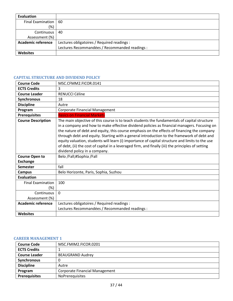| Evaluation                |                                                |
|---------------------------|------------------------------------------------|
| <b>Final Examination</b>  | 60                                             |
| (%)                       |                                                |
| Continuous                | 40                                             |
| Assessment (%)            |                                                |
| <b>Academic reference</b> | Lectures obligatoires / Required readings :    |
|                           | Lectures Recommandées / Recommanded readings : |
| <b>Websites</b>           |                                                |

# <span id="page-36-0"></span>**CAPITAL STRUCTURE AND DIVIDEND POLICY**

| <b>Course Code</b>                       | MSC.CFMM2.FICOR.0141                                                                                                                                                                                                                                                                                                                                                                                                                                                                                                                                                                                                               |
|------------------------------------------|------------------------------------------------------------------------------------------------------------------------------------------------------------------------------------------------------------------------------------------------------------------------------------------------------------------------------------------------------------------------------------------------------------------------------------------------------------------------------------------------------------------------------------------------------------------------------------------------------------------------------------|
| <b>ECTS Credits</b>                      | 3                                                                                                                                                                                                                                                                                                                                                                                                                                                                                                                                                                                                                                  |
| <b>Course Leader</b>                     | RENUCCI Céline                                                                                                                                                                                                                                                                                                                                                                                                                                                                                                                                                                                                                     |
| Synchronous                              | 18                                                                                                                                                                                                                                                                                                                                                                                                                                                                                                                                                                                                                                 |
| <b>Discipline</b>                        | Autre                                                                                                                                                                                                                                                                                                                                                                                                                                                                                                                                                                                                                              |
| Program                                  | Corporate Financial Management                                                                                                                                                                                                                                                                                                                                                                                                                                                                                                                                                                                                     |
| <b>Prerequisites</b>                     | <b>Basics on Financial Markets</b>                                                                                                                                                                                                                                                                                                                                                                                                                                                                                                                                                                                                 |
| <b>Course Description</b>                | The main objective of this course is to teach students the fundamentals of capital structure<br>in a company and how to make effective dividend policies as financial managers. Focusing on<br>the nature of debt and equity, this course emphasis on the effects of financing the company<br>through debt and equity. Starting with a general introduction to the framework of debt and<br>equity valuation, students will learn (i) importance of capital structure and limits to the use<br>of debt, (ii) the cost of capital in a leveraged firm, and finally (iii) the principles of setting<br>dividend policy in a company. |
| <b>Course Open to</b><br><b>Exchange</b> | Belo /Fall;#Sophia /Fall                                                                                                                                                                                                                                                                                                                                                                                                                                                                                                                                                                                                           |
| <b>Semester</b>                          | fall                                                                                                                                                                                                                                                                                                                                                                                                                                                                                                                                                                                                                               |
| <b>Campus</b>                            | Belo Horizonte, Paris, Sophia, Suzhou                                                                                                                                                                                                                                                                                                                                                                                                                                                                                                                                                                                              |
| Evaluation                               |                                                                                                                                                                                                                                                                                                                                                                                                                                                                                                                                                                                                                                    |
| <b>Final Examination</b><br>(%)          | 100                                                                                                                                                                                                                                                                                                                                                                                                                                                                                                                                                                                                                                |
| Continuous<br>Assessment (%)             | $\Omega$                                                                                                                                                                                                                                                                                                                                                                                                                                                                                                                                                                                                                           |
| <b>Academic reference</b>                | Lectures obligatoires / Required readings :                                                                                                                                                                                                                                                                                                                                                                                                                                                                                                                                                                                        |
|                                          | Lectures Recommandées / Recommanded readings :                                                                                                                                                                                                                                                                                                                                                                                                                                                                                                                                                                                     |
| <b>Websites</b>                          |                                                                                                                                                                                                                                                                                                                                                                                                                                                                                                                                                                                                                                    |
|                                          |                                                                                                                                                                                                                                                                                                                                                                                                                                                                                                                                                                                                                                    |

## <span id="page-36-1"></span>**CAREER MANAGEMENT 1**

| <b>Course Code</b>   | MSC.FMIM2.FICOR.0201           |
|----------------------|--------------------------------|
| <b>ECTS Credits</b>  |                                |
| <b>Course Leader</b> | <b>BEAUGRAND Audrey</b>        |
| Synchronous          | 0                              |
| <b>Discipline</b>    | Autre                          |
| Program              | Corporate Financial Management |
| <b>Prerequisites</b> | <b>NoPrerequisites</b>         |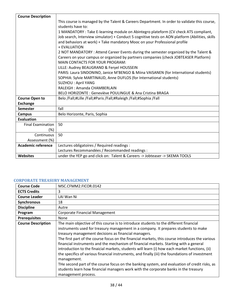| <b>Course Description</b> |                                                                                                                                |
|---------------------------|--------------------------------------------------------------------------------------------------------------------------------|
|                           | This course is managed by the Talent & Careers Department. In order to validate this course,                                   |
|                           | students have to:                                                                                                              |
|                           | 1 MANDATORY: Take E-learning module on Abintegro plateform (CV check ATS compliant,                                            |
|                           | Job search, Interview simulator) + Conduct 5 cognitive tests on AON platform (Abilities, skills                                |
|                           | and behaviors at work) + Take mandatory Mooc on your Professional profile                                                      |
|                           | + EVALUATION                                                                                                                   |
|                           | 2 NOT MANDATORY : Attend Career Events during the semester organized by the Talent &                                           |
|                           | Careers on your campus or organized by partners companies (check JOBTEASER Platform)<br><b>MAIN CONTACTS FOR YOUR PROGRAM:</b> |
|                           | LILLE: Audrey BEAUGRAND & Feryel HOUSSEIN                                                                                      |
|                           | PARIS: Laura SINDONINO, Janice M'BENGO & Miina VAISANEN (for International students)                                           |
|                           | SOPHIA: Sylvie MARTINAUD, Anne DUFLOS (for International students)                                                             |
|                           | <b>SUZHOU: April YANG</b>                                                                                                      |
|                           | RALEIGH: Amanda CHAMBERLAIN                                                                                                    |
|                           | BELO HORIZONTE: Geneviève POULINGUE & Ana Cristina BRAGA                                                                       |
| <b>Course Open to</b>     | Belo /Fall;#Lille /Fall;#Paris /Fall;#Raleigh /Fall;#Sophia /Fall                                                              |
| <b>Exchange</b>           |                                                                                                                                |
| <b>Semester</b>           | fall                                                                                                                           |
| <b>Campus</b>             | Belo Horizonte, Paris, Sophia                                                                                                  |
| <b>Evaluation</b>         |                                                                                                                                |
| <b>Final Examination</b>  | 50                                                                                                                             |
| (%)                       |                                                                                                                                |
| Continuous                | 50                                                                                                                             |
| Assessment (%)            |                                                                                                                                |
| <b>Academic reference</b> | Lectures obligatoires / Required readings :                                                                                    |
|                           | Lectures Recommandées / Recommanded readings :                                                                                 |
| <b>Websites</b>           | under the YEP go and click on: Talent & Careers -> Jobteaser -> SKEMA TOOLS                                                    |

## <span id="page-37-0"></span>**CORPORATE TREASURY MANAGEMENT**

| <b>Course Code</b>        | MSC.CFMM2.FICOR.0142                                                                                                                                                                                                                                                                                                                                                                                                                                                                                                                                                                                                                                                                                                                                                                                                                                                |
|---------------------------|---------------------------------------------------------------------------------------------------------------------------------------------------------------------------------------------------------------------------------------------------------------------------------------------------------------------------------------------------------------------------------------------------------------------------------------------------------------------------------------------------------------------------------------------------------------------------------------------------------------------------------------------------------------------------------------------------------------------------------------------------------------------------------------------------------------------------------------------------------------------|
| <b>ECTS Credits</b>       | 3                                                                                                                                                                                                                                                                                                                                                                                                                                                                                                                                                                                                                                                                                                                                                                                                                                                                   |
| <b>Course Leader</b>      | LAI Wan Ni                                                                                                                                                                                                                                                                                                                                                                                                                                                                                                                                                                                                                                                                                                                                                                                                                                                          |
| Synchronous               | 18                                                                                                                                                                                                                                                                                                                                                                                                                                                                                                                                                                                                                                                                                                                                                                                                                                                                  |
| <b>Discipline</b>         | Autre                                                                                                                                                                                                                                                                                                                                                                                                                                                                                                                                                                                                                                                                                                                                                                                                                                                               |
| Program                   | <b>Corporate Financial Management</b>                                                                                                                                                                                                                                                                                                                                                                                                                                                                                                                                                                                                                                                                                                                                                                                                                               |
| <b>Prerequisites</b>      | None                                                                                                                                                                                                                                                                                                                                                                                                                                                                                                                                                                                                                                                                                                                                                                                                                                                                |
| <b>Course Description</b> | The main objective of this course is to introduce students to the different financial<br>instruments used for treasury management in a company. It prepares students to make<br>treasury management decisions as financial managers.<br>The first part of the course focus on the financial markets, this course introduces the various<br>financial instruments and the mechanism of financial markets. Starting with a general<br>introduction to the finaicial markets, students will learn (i) how each market functions, (ii)<br>the specifics of various financial instruments, and finally (iii) the foundations of investment<br>management.<br>THe second part of the course focus on the banking system, and evaluation of credit risks, as<br>students learn how financial managers work with the corporate banks in the treasury<br>management process. |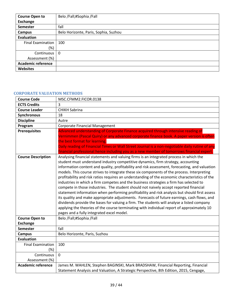| <b>Course Open to</b>     | Belo /Fall;#Sophia /Fall              |
|---------------------------|---------------------------------------|
| Exchange                  |                                       |
| Semester                  | fall                                  |
| <b>Campus</b>             | Belo Horizonte, Paris, Sophia, Suzhou |
| Evaluation                |                                       |
| Final Examination         | 100                                   |
| $(\%)$                    |                                       |
| Continuous                | $\mathbf{0}$                          |
| Assessment (%)            |                                       |
| <b>Academic reference</b> |                                       |
| <b>Websites</b>           |                                       |

#### <span id="page-38-0"></span>**CORPORATE VALUATION METHODS**

| <b>Course Code</b>        | MSC.CFMM2.FICOR.0138                                                                                                                                                                                                                                                                                                                                                                                                                                                                                                                                                                                                                                                                                                                                                                                                                                                                                                                                                                                                                                                                                     |
|---------------------------|----------------------------------------------------------------------------------------------------------------------------------------------------------------------------------------------------------------------------------------------------------------------------------------------------------------------------------------------------------------------------------------------------------------------------------------------------------------------------------------------------------------------------------------------------------------------------------------------------------------------------------------------------------------------------------------------------------------------------------------------------------------------------------------------------------------------------------------------------------------------------------------------------------------------------------------------------------------------------------------------------------------------------------------------------------------------------------------------------------|
| <b>ECTS Credits</b>       | 3                                                                                                                                                                                                                                                                                                                                                                                                                                                                                                                                                                                                                                                                                                                                                                                                                                                                                                                                                                                                                                                                                                        |
| <b>Course Leader</b>      | <b>CHIKH Sabrina</b>                                                                                                                                                                                                                                                                                                                                                                                                                                                                                                                                                                                                                                                                                                                                                                                                                                                                                                                                                                                                                                                                                     |
| <b>Synchronous</b>        | 18                                                                                                                                                                                                                                                                                                                                                                                                                                                                                                                                                                                                                                                                                                                                                                                                                                                                                                                                                                                                                                                                                                       |
| <b>Discipline</b>         | Autre                                                                                                                                                                                                                                                                                                                                                                                                                                                                                                                                                                                                                                                                                                                                                                                                                                                                                                                                                                                                                                                                                                    |
| Program                   | <b>Corporate Financial Management</b>                                                                                                                                                                                                                                                                                                                                                                                                                                                                                                                                                                                                                                                                                                                                                                                                                                                                                                                                                                                                                                                                    |
| <b>Prerequisites</b>      | Advanced understanding of Corporate Finance acquired through intensive reading of                                                                                                                                                                                                                                                                                                                                                                                                                                                                                                                                                                                                                                                                                                                                                                                                                                                                                                                                                                                                                        |
|                           | Vernimmen (Pascal Quiry) or any advanced corporate finance book. A paper version is often                                                                                                                                                                                                                                                                                                                                                                                                                                                                                                                                                                                                                                                                                                                                                                                                                                                                                                                                                                                                                |
|                           | the best format for learning.                                                                                                                                                                                                                                                                                                                                                                                                                                                                                                                                                                                                                                                                                                                                                                                                                                                                                                                                                                                                                                                                            |
|                           | Daily reading of Financial Times or Wall Street Journal is a non-negotiable daily rutine of any                                                                                                                                                                                                                                                                                                                                                                                                                                                                                                                                                                                                                                                                                                                                                                                                                                                                                                                                                                                                          |
|                           | financial professional hence including you as a new member of tomorrows financial expert.                                                                                                                                                                                                                                                                                                                                                                                                                                                                                                                                                                                                                                                                                                                                                                                                                                                                                                                                                                                                                |
| <b>Course Description</b> | Analysing financial statements and valuing firms is an integrated process in which the<br>student must understand industry competitive dynamics, firm strategy, accounting<br>information content and quality, profitability and risk assessment, forecasting, and valuation<br>models. This course strives to integrate these six components of the process. Interpreting<br>profitability and risk ratios requires an understanding of the economic characteristics of the<br>industries in which a firm competes and the business strategies a firm has selected to<br>compete in those industries. The student should not naively accept reported financial<br>statement information when performing profitability and risk analysis but should first assess<br>its quality and make appropriate adjustments. Forecasts of future earnings, cash flows, and<br>dividends provide the bases for valuing a firm. The students will analyse a listed company<br>applying the theories of the course terminating with individual report of approximately 10<br>pages and a fully integrated excel model. |
| <b>Course Open to</b>     | Belo /Fall;#Sophia /Fall                                                                                                                                                                                                                                                                                                                                                                                                                                                                                                                                                                                                                                                                                                                                                                                                                                                                                                                                                                                                                                                                                 |
| <b>Exchange</b>           |                                                                                                                                                                                                                                                                                                                                                                                                                                                                                                                                                                                                                                                                                                                                                                                                                                                                                                                                                                                                                                                                                                          |
| <b>Semester</b>           | fall                                                                                                                                                                                                                                                                                                                                                                                                                                                                                                                                                                                                                                                                                                                                                                                                                                                                                                                                                                                                                                                                                                     |
| <b>Campus</b>             | Belo Horizonte, Paris, Suzhou                                                                                                                                                                                                                                                                                                                                                                                                                                                                                                                                                                                                                                                                                                                                                                                                                                                                                                                                                                                                                                                                            |
| <b>Evaluation</b>         |                                                                                                                                                                                                                                                                                                                                                                                                                                                                                                                                                                                                                                                                                                                                                                                                                                                                                                                                                                                                                                                                                                          |
| <b>Final Examination</b>  | 100                                                                                                                                                                                                                                                                                                                                                                                                                                                                                                                                                                                                                                                                                                                                                                                                                                                                                                                                                                                                                                                                                                      |
| (%)                       |                                                                                                                                                                                                                                                                                                                                                                                                                                                                                                                                                                                                                                                                                                                                                                                                                                                                                                                                                                                                                                                                                                          |
| Continuous                | $\mathbf 0$                                                                                                                                                                                                                                                                                                                                                                                                                                                                                                                                                                                                                                                                                                                                                                                                                                                                                                                                                                                                                                                                                              |
| Assessment (%)            |                                                                                                                                                                                                                                                                                                                                                                                                                                                                                                                                                                                                                                                                                                                                                                                                                                                                                                                                                                                                                                                                                                          |
| <b>Academic reference</b> | James M. WAHLEN, Stephen BAGINSKI, Mark BRADSHAW, Financial Reporting, Financial                                                                                                                                                                                                                                                                                                                                                                                                                                                                                                                                                                                                                                                                                                                                                                                                                                                                                                                                                                                                                         |
|                           | Statement Analysis and Valuation, A Strategic Perspective, 8th Edition, 2015, Cengage,                                                                                                                                                                                                                                                                                                                                                                                                                                                                                                                                                                                                                                                                                                                                                                                                                                                                                                                                                                                                                   |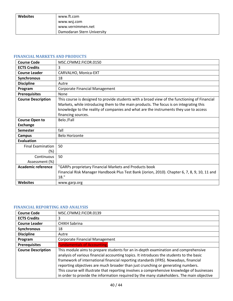| <b>Websites</b> | www.ft.com                 |
|-----------------|----------------------------|
|                 | www.wsj.com                |
|                 | www.vernimmen.net          |
|                 | Damodaran Stern University |

## <span id="page-39-0"></span>**FINANCIAL MARKETS AND PRODUCTS**

| <b>Course Code</b>        | MSC.CFMM2.FICOR.0150                                                                          |
|---------------------------|-----------------------------------------------------------------------------------------------|
| <b>ECTS Credits</b>       | 3                                                                                             |
| <b>Course Leader</b>      | CARVALHO, Monica-EXT                                                                          |
| Synchronous               | 18                                                                                            |
| <b>Discipline</b>         | Autre                                                                                         |
| Program                   | <b>Corporate Financial Management</b>                                                         |
| <b>Prerequisites</b>      | None                                                                                          |
| <b>Course Description</b> | This course is designed to provide students with a broad view of the functioning of Financial |
|                           | Markets, while introducing them to the main products. The focus is on integrating this        |
|                           | knowledge to the reality of companies and what are the instruments they use to access         |
|                           | financing sources.                                                                            |
| <b>Course Open to</b>     | Belo /Fall                                                                                    |
| <b>Exchange</b>           |                                                                                               |
| <b>Semester</b>           | fall                                                                                          |
| Campus                    | <b>Belo Horizonte</b>                                                                         |
| <b>Evaluation</b>         |                                                                                               |
| <b>Final Examination</b>  | 50                                                                                            |
| $(\%)$                    |                                                                                               |
| Continuous                | 50                                                                                            |
| Assessment (%)            |                                                                                               |
| <b>Academic reference</b> | "GARPs proprietary Financial Markets and Products book                                        |
|                           | Financial Risk Manager Handbook Plus Test Bank (Jorion, 2010). Chapter 6, 7, 8, 9, 10, 11 and |
|                           | 18."                                                                                          |
| <b>Websites</b>           | www.garp.org                                                                                  |

## <span id="page-39-1"></span>**FINANCIAL REPORTING AND ANALYSIS**

| <b>Course Code</b>        | MSC.CFMM2.FICOR.0139                                                                                                                                                                                                                                                                                                                                                                                                                                                                                                                                   |
|---------------------------|--------------------------------------------------------------------------------------------------------------------------------------------------------------------------------------------------------------------------------------------------------------------------------------------------------------------------------------------------------------------------------------------------------------------------------------------------------------------------------------------------------------------------------------------------------|
| <b>ECTS Credits</b>       | 3                                                                                                                                                                                                                                                                                                                                                                                                                                                                                                                                                      |
| <b>Course Leader</b>      | <b>CHIKH Sabrina</b>                                                                                                                                                                                                                                                                                                                                                                                                                                                                                                                                   |
| Synchronous               | 18                                                                                                                                                                                                                                                                                                                                                                                                                                                                                                                                                     |
| <b>Discipline</b>         | Autre                                                                                                                                                                                                                                                                                                                                                                                                                                                                                                                                                  |
| Program                   | Corporate Financial Management                                                                                                                                                                                                                                                                                                                                                                                                                                                                                                                         |
| <b>Prerequisites</b>      | <b>Fundamentals of Accounting,</b>                                                                                                                                                                                                                                                                                                                                                                                                                                                                                                                     |
| <b>Course Description</b> | This module aims to prepare students for an in-depth examination and comprehensive<br>analysis of various financial accounting topics. It introduces the students to the basic<br>framework of international financial reporting standards (IFRS). Nowadays, financial<br>reporting objectives are much broader than just crunching or generating numbers.<br>This course will illustrate that reporting involves a comprehensive knowledge of businesses<br>in order to provide the information required by the many stakeholders. The main objective |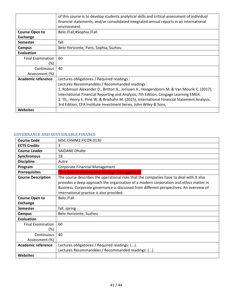|                          | of this course is to develop students analytical skills and critical assessment of individual<br>financial statements, and/or consolidated integrated annual reports in an international |
|--------------------------|------------------------------------------------------------------------------------------------------------------------------------------------------------------------------------------|
|                          | environment.                                                                                                                                                                             |
| <b>Course Open to</b>    | Belo /Fall;#Sophia /Fall                                                                                                                                                                 |
| Exchange                 |                                                                                                                                                                                          |
| <b>Semester</b>          | fall                                                                                                                                                                                     |
| <b>Campus</b>            | Belo Horizonte, Paris, Sophia, Suzhou                                                                                                                                                    |
| Evaluation               |                                                                                                                                                                                          |
| <b>Final Examination</b> | 60                                                                                                                                                                                       |
| (%)                      |                                                                                                                                                                                          |
| Continuous               | 40                                                                                                                                                                                       |
| Assessment (%)           |                                                                                                                                                                                          |
| Academic reference       | Lectures obligatoires / Required readings :                                                                                                                                              |
|                          | Lectures Recommandées / Recommanded readings :                                                                                                                                           |
|                          | 1. Robinson Alexander D., Britton A., Jorissen A., Hoogendoorn M. & Van Mourik C. (2017),                                                                                                |
|                          | International Financial Reporting and Analysis, 7th Edition, Cengage Learning EMEA.                                                                                                      |
|                          | 2. Th., Henry E. Pirie W. & Broihahn M. (2015), International Financial Statement Analysis,                                                                                              |
|                          | 3rd Edition, CFA Institute Investment Series, John Wiley & Sons,                                                                                                                         |
| <b>Websites</b>          |                                                                                                                                                                                          |

# <span id="page-40-0"></span>**GOVERNANCE AND SUSTAINABLE FINANCE**

| <b>Course Code</b>        | MSC.CFMM2.FICOR.0130                                                                                                                                                                                                                                                                                                      |
|---------------------------|---------------------------------------------------------------------------------------------------------------------------------------------------------------------------------------------------------------------------------------------------------------------------------------------------------------------------|
| <b>ECTS Credits</b>       | 3                                                                                                                                                                                                                                                                                                                         |
| <b>Course Leader</b>      | <b>SAIDANE Dhafer</b>                                                                                                                                                                                                                                                                                                     |
| Synchronous               | 18                                                                                                                                                                                                                                                                                                                        |
| <b>Discipline</b>         | Autre                                                                                                                                                                                                                                                                                                                     |
| Program                   | Corporate Financial Management                                                                                                                                                                                                                                                                                            |
| <b>Prerequisites</b>      | <b>Principles of Finance and Strategic Management.</b>                                                                                                                                                                                                                                                                    |
| <b>Course Description</b> | The course describes the operational risks that the companies have to deal with. It also<br>provides a deep approach the organization of a modern corporation and ethics matter in<br>Business. Corporate governance is discussed from different perspectives. An overview of<br>international practice is also provided. |
| <b>Course Open to</b>     | Belo /Fall                                                                                                                                                                                                                                                                                                                |
| Exchange                  |                                                                                                                                                                                                                                                                                                                           |
| Semester                  | fall, spring                                                                                                                                                                                                                                                                                                              |
| <b>Campus</b>             | Belo Horizonte, Suzhou                                                                                                                                                                                                                                                                                                    |
| <b>Evaluation</b>         |                                                                                                                                                                                                                                                                                                                           |
| <b>Final Examination</b>  | 60                                                                                                                                                                                                                                                                                                                        |
| (%)                       |                                                                                                                                                                                                                                                                                                                           |
| Continuous                | 40                                                                                                                                                                                                                                                                                                                        |
| Assessment (%)            |                                                                                                                                                                                                                                                                                                                           |
| <b>Academic reference</b> | Lectures obligatoires / Required readings: ().                                                                                                                                                                                                                                                                            |
|                           | Lectures Recommandées / Recommanded readings: ().                                                                                                                                                                                                                                                                         |
| Websites                  |                                                                                                                                                                                                                                                                                                                           |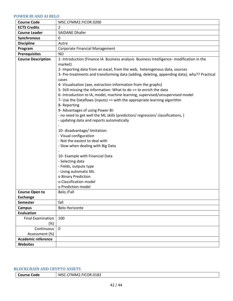#### <span id="page-41-0"></span>**POWER BI AND AI BELO**

| <b>Course Code</b>                 | MSC.CFMM2.FICOR.0200                                                                                                                                                             |
|------------------------------------|----------------------------------------------------------------------------------------------------------------------------------------------------------------------------------|
| <b>ECTS Credits</b>                | 2                                                                                                                                                                                |
| <b>Course Leader</b>               | <b>SAIDANE Dhafer</b>                                                                                                                                                            |
| Synchronous                        | 0                                                                                                                                                                                |
| <b>Discipline</b>                  | Autre                                                                                                                                                                            |
| Program                            | Corporate Financial Management                                                                                                                                                   |
| <b>Prerequisites</b>               | <b>NO</b>                                                                                                                                                                        |
| <b>Course Description</b>          | 1- Introduction (Finance IA Business analysis Business Intelligence- modification in the<br>market)<br>2- Importing data from an excel, from the web, heterogenous data, sources |
|                                    | 3- Pre-treatments and transforming data (adding, deleting, appending data), why?? Practical<br>cases                                                                             |
|                                    | 4- Visualisation (axe, extraction information from the graphs)<br>5- Still missing the information: What to do => to enrich the data                                             |
|                                    | 6- Introduction to IA, model, machine learning, supervised/unsupervised model<br>7- Use the Dataflows (inputs) => with the appropriate learning algorithm<br>8- Reporting        |
|                                    | 9- Advantages of using Power BI:                                                                                                                                                 |
|                                    | - no need to get well the ML skills (prediction/ regression/ classifications, )                                                                                                  |
|                                    | - updating data and reports automatically                                                                                                                                        |
|                                    |                                                                                                                                                                                  |
|                                    | 10- disadvantage/ limitation:                                                                                                                                                    |
|                                    | - Visual configuration                                                                                                                                                           |
|                                    | - Not the easiest to deal with                                                                                                                                                   |
|                                    | - Slow when dealing with Big Data                                                                                                                                                |
|                                    | 10- Example with Financial Data                                                                                                                                                  |
|                                    | - Selecting data                                                                                                                                                                 |
|                                    | - Fields, outputs type                                                                                                                                                           |
|                                    | - Using automatic ML                                                                                                                                                             |
|                                    | o Binary Prediction                                                                                                                                                              |
|                                    | o Classification model                                                                                                                                                           |
|                                    | o Prediction model                                                                                                                                                               |
| <b>Course Open to</b>              | Belo /Fall                                                                                                                                                                       |
| <b>Exchange</b>                    | fall                                                                                                                                                                             |
| <b>Semester</b>                    | <b>Belo Horizonte</b>                                                                                                                                                            |
| <b>Campus</b><br><b>Evaluation</b> |                                                                                                                                                                                  |
| <b>Final Examination</b>           | 100                                                                                                                                                                              |
| $(\%)$                             |                                                                                                                                                                                  |
| Continuous                         | $\mathbf 0$                                                                                                                                                                      |
| Assessment (%)                     |                                                                                                                                                                                  |
| <b>Academic reference</b>          |                                                                                                                                                                                  |
| <b>Websites</b>                    |                                                                                                                                                                                  |

## <span id="page-41-1"></span>**BLOCKCHAIN AND CRYPTO ASSETS**

| <b>Course Code</b> | MSC.CFMM2.FICOR.0182 |
|--------------------|----------------------|
|--------------------|----------------------|